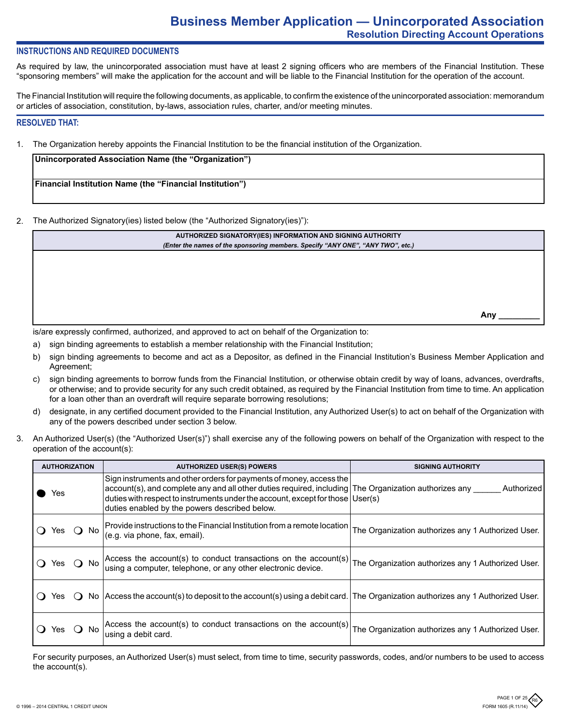## **INSTRUCTIONS AND REQUIRED DOCUMENTS**

As required by law, the unincorporated association must have at least 2 signing officers who are members of the Financial Institution. These "sponsoring members" will make the application for the account and will be liable to the Financial Institution for the operation of the account.

The Financial Institution will require the following documents, as applicable, to confirm the existence of the unincorporated association: memorandum or articles of association, constitution, by-laws, association rules, charter, and/or meeting minutes.

#### **RESOLVED THAT:**

1. The Organization hereby appoints the Financial Institution to be the financial institution of the Organization.

| (Unincorporated Association Name (the "Organization")           |  |
|-----------------------------------------------------------------|--|
|                                                                 |  |
| <b>Financial Institution Name (the "Financial Institution")</b> |  |
|                                                                 |  |

2. The Authorized Signatory(ies) listed below (the "Authorized Signatory(ies)"):

| AUTHORIZED SIGNATORY(IES) INFORMATION AND SIGNING AUTHORITY                     |     |  |
|---------------------------------------------------------------------------------|-----|--|
| (Enter the names of the sponsoring members. Specify "ANY ONE", "ANY TWO", etc.) |     |  |
|                                                                                 |     |  |
|                                                                                 |     |  |
|                                                                                 |     |  |
|                                                                                 |     |  |
|                                                                                 |     |  |
|                                                                                 |     |  |
|                                                                                 | Anv |  |
|                                                                                 |     |  |

is/are expressly confirmed, authorized, and approved to act on behalf of the Organization to:

- a) sign binding agreements to establish a member relationship with the Financial Institution;
- b) sign binding agreements to become and act as a Depositor, as defined in the Financial Institution's Business Member Application and Agreement;
- c) sign binding agreements to borrow funds from the Financial Institution, or otherwise obtain credit by way of loans, advances, overdrafts, or otherwise; and to provide security for any such credit obtained, as required by the Financial Institution from time to time. An application for a loan other than an overdraft will require separate borrowing resolutions;
- d) designate, in any certified document provided to the Financial Institution, any Authorized User(s) to act on behalf of the Organization with any of the powers described under section 3 below.
- 3. An Authorized User(s) (the "Authorized User(s)") shall exercise any of the following powers on behalf of the Organization with respect to the operation of the account(s):

| <b>AUTHORIZATION</b> | <b>AUTHORIZED USER(S) POWERS</b>                                                                                                                                                                                                                                                                                   | <b>SIGNING AUTHORITY</b>                           |
|----------------------|--------------------------------------------------------------------------------------------------------------------------------------------------------------------------------------------------------------------------------------------------------------------------------------------------------------------|----------------------------------------------------|
| res                  | Sign instruments and other orders for payments of money, access the<br>$account(s)$ , and complete any and all other duties required, including The Organization authorizes any<br>duties with respect to instruments under the account, except for those User(s)<br>duties enabled by the powers described below. | Authorized                                         |
| ⊢ No<br>res          | Provide instructions to the Financial Institution from a remote location<br>(e.g. via phone, fax, email).                                                                                                                                                                                                          | The Organization authorizes any 1 Authorized User. |
| () No<br>Yes         | Access the account(s) to conduct transactions on the account(s)<br>using a computer, telephone, or any other electronic device.                                                                                                                                                                                    | The Organization authorizes any 1 Authorized User. |
| Yes.                 | No Access the account(s) to deposit to the account(s) using a debit card. The Organization authorizes any 1 Authorized User.                                                                                                                                                                                       |                                                    |
| No.<br>res           | Access the account(s) to conduct transactions on the account(s)<br>using a debit card.                                                                                                                                                                                                                             | The Organization authorizes any 1 Authorized User. |

For security purposes, an Authorized User(s) must select, from time to time, security passwords, codes, and/or numbers to be used to access the account(s).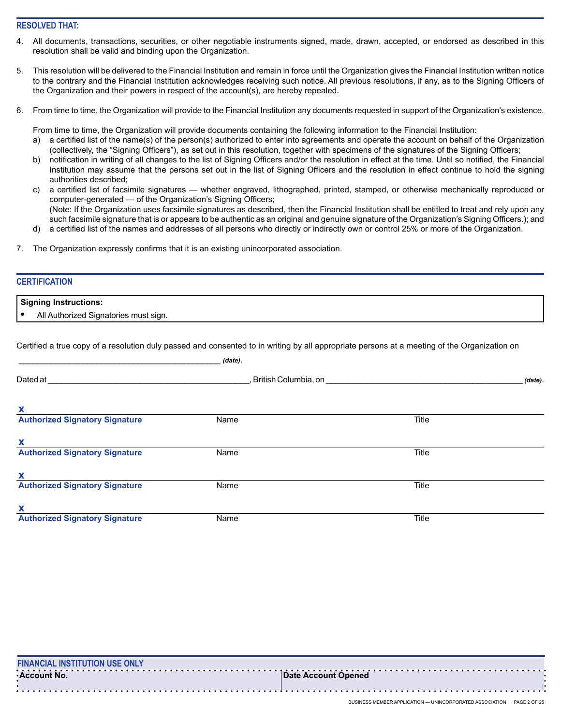## **RESOLVED THAT:**

- All documents, transactions, securities, or other negotiable instruments signed, made, drawn, accepted, or endorsed as described in this resolution shall be valid and binding upon the Organization.
- 5. This resolution will be delivered to the Financial Institution and remain in force until the Organization gives the Financial Institution written notice to the contrary and the Financial Institution acknowledges receiving such notice. All previous resolutions, if any, as to the Signing Officers of the Organization and their powers in respect of the account(s), are hereby repealed.
- 6. From time to time, the Organization will provide to the Financial Institution any documents requested in support of the Organization's existence.

From time to time, the Organization will provide documents containing the following information to the Financial Institution:

- a certified list of the name(s) of the person(s) authorized to enter into agreements and operate the account on behalf of the Organization (collectively, the "Signing Officers"), as set out in this resolution, together with specimens of the signatures of the Signing Officers;
- b) notification in writing of all changes to the list of Signing Officers and/or the resolution in effect at the time. Until so notified, the Financial Institution may assume that the persons set out in the list of Signing Officers and the resolution in effect continue to hold the signing authorities described;
- c) a certified list of facsimile signatures whether engraved, lithographed, printed, stamped, or otherwise mechanically reproduced or computer-generated — of the Organization's Signing Officers; (Note: If the Organization uses facsimile signatures as described, then the Financial Institution shall be entitled to treat and rely upon any such facsimile signature that is or appears to be authentic as an original and genuine signature of the Organization's Signing Officers.); and
- a certified list of the names and addresses of all persons who directly or indirectly own or control 25% or more of the Organization.
- 7. The Organization expressly confirms that it is an existing unincorporated association.

## **CERTIFICATION**

**Signing Instructions:**

**•** All Authorized Signatories must sign.

Certified a true copy of a resolution duly passed and consented to in writing by all appropriate persons at a meeting of the Organization on

|                                       | (date).                |              |         |
|---------------------------------------|------------------------|--------------|---------|
| Dated at                              | , British Columbia, on |              | (date). |
| X                                     |                        |              |         |
| <b>Authorized Signatory Signature</b> | Name                   | <b>Title</b> |         |
| X                                     |                        |              |         |
| <b>Authorized Signatory Signature</b> | Name                   | Title        |         |
| X                                     |                        |              |         |
| <b>Authorized Signatory Signature</b> | Name                   | <b>Title</b> |         |
| x                                     |                        |              |         |
| <b>Authorized Signatory Signature</b> | Name                   | Title        |         |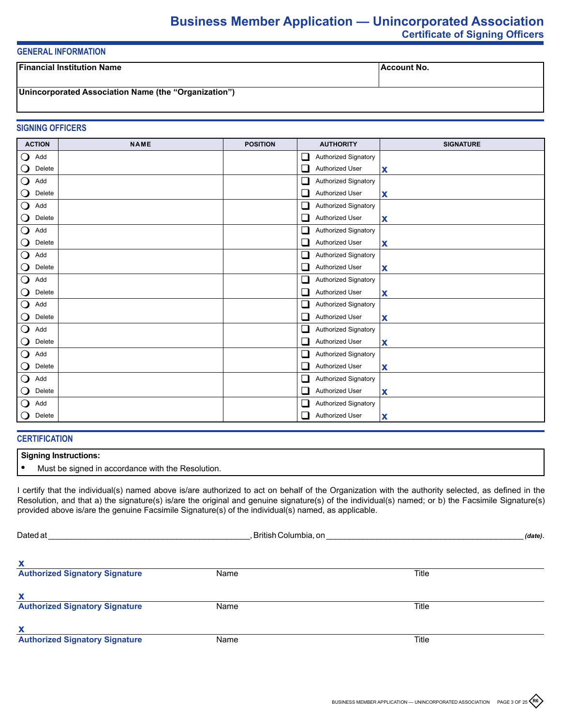# **Business Member Application — Unincorporated Association Certificate of Signing Officers**

## **GENERAL INFORMATION**

| l Financial Institution Name                         | Account No. |
|------------------------------------------------------|-------------|
| Unincorporated Association Name (the "Organization") |             |

## **SIGNING OFFICERS**

| <b>ACTION</b>                   | <b>NAME</b> | <b>POSITION</b> | <b>AUTHORITY</b>                      | <b>SIGNATURE</b> |
|---------------------------------|-------------|-----------------|---------------------------------------|------------------|
| $\mathbf{O}$<br>Add             |             |                 | Authorized Signatory<br>⊔             |                  |
| $\bigcirc$<br>Delete            |             |                 | Authorized User<br>$\Box$             | X                |
| $\bigcirc$<br>Add               |             |                 | □<br>Authorized Signatory             |                  |
| $\bigcirc$<br>Delete            |             |                 | $\Box$<br>Authorized User             | X                |
| $\bigcirc$<br>Add               |             |                 | <b>Authorized Signatory</b><br>❏      |                  |
| $\mathsf{O}$<br>Delete          |             |                 | Authorized User<br>⊔                  | X                |
| $\bigcirc$<br>Add               |             |                 | □<br>Authorized Signatory             |                  |
| $\bigcirc$<br>Delete            |             |                 | $\Box$<br>Authorized User             | X                |
| $\bigcirc$<br>Add               |             |                 | $\Box$<br>Authorized Signatory        |                  |
| $\mathsf{O}$<br>Delete          |             |                 | $\Box$<br>Authorized User             | X                |
| $\bigcirc$<br>Add               |             |                 | Authorized Signatory<br>$\Box$        |                  |
| $\bigcirc$<br>Delete            |             |                 | $\Box$<br>Authorized User             | X                |
| $\bigcirc$<br>Add               |             |                 | $\Box$<br>Authorized Signatory        |                  |
| $\mathsf{O}$<br>Delete          |             |                 | Authorized User<br>⊔                  | X                |
| $\bigcirc$<br>Add               |             |                 | $\Box$<br><b>Authorized Signatory</b> |                  |
| $\bigcirc$<br>Delete            |             |                 | $\Box$<br>Authorized User             | X                |
| $\bigcirc$<br>Add               |             |                 | $\Box$<br>Authorized Signatory        |                  |
| $\mathbf{\mathsf{O}}$<br>Delete |             |                 | $\Box$<br>Authorized User             | X                |
| $\bigcirc$<br>Add               |             |                 | Authorized Signatory<br>$\Box$        |                  |
| $\bigcirc$<br>Delete            |             |                 | $\Box$<br>Authorized User             | X                |
| $\bigcirc$<br>Add               |             |                 | $\Box$<br>Authorized Signatory        |                  |
| $\mathbf{O}$<br>Delete          |             |                 | Authorized User<br>П                  | $\mathbf x$      |

### **CERTIFICATION**

### **Signing Instructions:**

**•** Must be signed in accordance with the Resolution.

I certify that the individual(s) named above is/are authorized to act on behalf of the Organization with the authority selected, as defined in the Resolution, and that a) the signature(s) is/are the original and genuine signature(s) of the individual(s) named; or b) the Facsimile Signature(s) provided above is/are the genuine Facsimile Signature(s) of the individual(s) named, as applicable.

| Dated at                              | , British Columbia, on |       |  |
|---------------------------------------|------------------------|-------|--|
| $\mathbf x$                           |                        |       |  |
| <b>Authorized Signatory Signature</b> | Name                   | Title |  |
| X                                     |                        |       |  |
| <b>Authorized Signatory Signature</b> | Name                   | Title |  |
| $\boldsymbol{\mathsf{x}}$             |                        |       |  |
| <b>Authorized Signatory Signature</b> | Name                   | Title |  |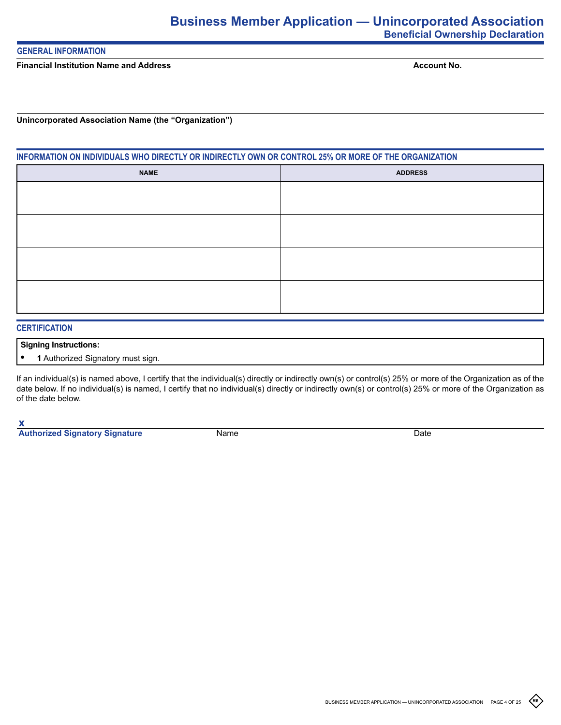## **GENERAL INFORMATION**

**Financial Institution Name and Address** 

**Account No.**

**Unincorporated Association Name (the "Organization")**

# **INFORMATION ON INDIVIDUALS WHO DIRECTLY OR INDIRECTLY OWN OR CONTROL 25% OR MORE OF THE ORGANIZATION**

| <b>ADDRESS</b> |
|----------------|
|                |
|                |
|                |
|                |
|                |
|                |
|                |
|                |
|                |

# **CERTIFICATION**

### **Signing Instructions:**

**• 1** Authorized Signatory must sign.

If an individual(s) is named above, I certify that the individual(s) directly or indirectly own(s) or control(s) 25% or more of the Organization as of the date below. If no individual(s) is named, I certify that no individual(s) directly or indirectly own(s) or control(s) 25% or more of the Organization as of the date below.

**x**

**Authorized Signatory Signature** Name Name Date

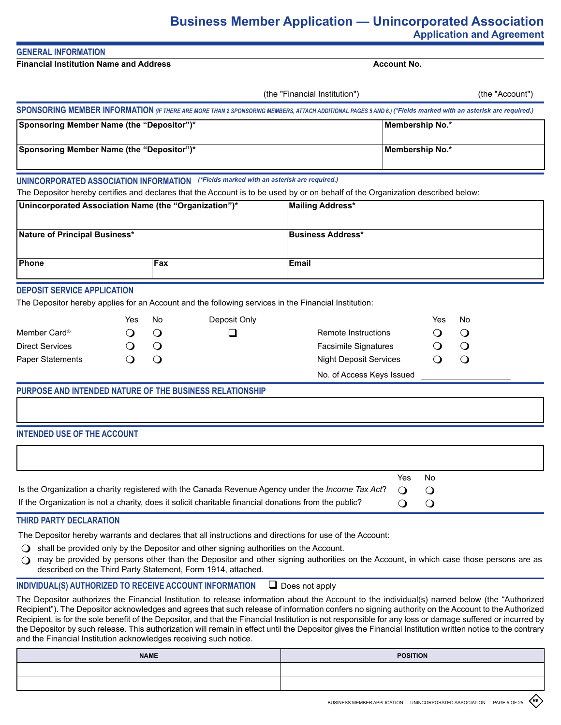# **Business Member Application — Unincorporated Association Application and Agreement**

# **GENERAL INFORMATION**

**Financial Institution Name and Address**

**Account No.**

|                                                                                                                     |                                       |                                     |                                                                                                       | (the "Financial Institution")                                                                                                                                                                                            | (the "Account")                                                                                                                                               |
|---------------------------------------------------------------------------------------------------------------------|---------------------------------------|-------------------------------------|-------------------------------------------------------------------------------------------------------|--------------------------------------------------------------------------------------------------------------------------------------------------------------------------------------------------------------------------|---------------------------------------------------------------------------------------------------------------------------------------------------------------|
|                                                                                                                     |                                       |                                     |                                                                                                       |                                                                                                                                                                                                                          | SPONSORING MEMBER INFORMATION (IF THERE ARE MORE THAN 2 SPONSORING MEMBERS, ATTACH ADDITIONAL PAGES 5 AND 6.) (*Fields marked with an asterisk are required.) |
| Sponsoring Member Name (the "Depositor")*                                                                           |                                       |                                     |                                                                                                       |                                                                                                                                                                                                                          | Membership No.*                                                                                                                                               |
| Sponsoring Member Name (the "Depositor")*                                                                           |                                       |                                     |                                                                                                       |                                                                                                                                                                                                                          | Membership No.*                                                                                                                                               |
|                                                                                                                     |                                       |                                     | UNINCORPORATED ASSOCIATION INFORMATION (*Fields marked with an asterisk are required.)                |                                                                                                                                                                                                                          | The Depositor hereby certifies and declares that the Account is to be used by or on behalf of the Organization described below:                               |
| Unincorporated Association Name (the "Organization")*                                                               |                                       |                                     |                                                                                                       | <b>Mailing Address*</b>                                                                                                                                                                                                  |                                                                                                                                                               |
| Nature of Principal Business*                                                                                       |                                       |                                     |                                                                                                       | <b>Business Address*</b>                                                                                                                                                                                                 |                                                                                                                                                               |
| Phone                                                                                                               |                                       | Fax                                 |                                                                                                       | <b>Email</b>                                                                                                                                                                                                             |                                                                                                                                                               |
| <b>DEPOSIT SERVICE APPLICATION</b><br>Member Card <sup>®</sup><br><b>Direct Services</b><br><b>Paper Statements</b> | Yes<br>$\cup$<br>$\cup$<br>$\bigcirc$ | No<br>$\bigcirc$<br>$\bigcirc$<br>O | Deposit Only<br>ப                                                                                     | The Depositor hereby applies for an Account and the following services in the Financial Institution:<br>Remote Instructions<br><b>Facsimile Signatures</b><br><b>Night Deposit Services</b><br>No. of Access Keys Issued | No<br>Yes<br>$\bigcirc$<br>$\Omega$<br>$\bigcirc$<br>O                                                                                                        |
| PURPOSE AND INTENDED NATURE OF THE BUSINESS RELATIONSHIP                                                            |                                       |                                     |                                                                                                       |                                                                                                                                                                                                                          |                                                                                                                                                               |
| <b>INTENDED USE OF THE ACCOUNT</b>                                                                                  |                                       |                                     |                                                                                                       |                                                                                                                                                                                                                          |                                                                                                                                                               |
|                                                                                                                     |                                       |                                     | If the Organization is not a charity, does it solicit charitable financial donations from the public? | Is the Organization a charity registered with the Canada Revenue Agency under the Income Tax Act?                                                                                                                        | Yes<br>No<br>$\circ$<br>$\bigcirc$<br>$\bigcirc$<br>$\bigcirc$                                                                                                |
| THIRD PARTY DECLARATION                                                                                             |                                       |                                     |                                                                                                       |                                                                                                                                                                                                                          |                                                                                                                                                               |
|                                                                                                                     |                                       |                                     | shall be provided only by the Depositor and other signing authorities on the Account.                 | The Depositor hereby warrants and declares that all instructions and directions for use of the Account:                                                                                                                  |                                                                                                                                                               |

 $\Omega$  may be provided by persons other than the Depositor and other signing authorities on the Account, in which case those persons are as described on the Third Party Statement, Form 1914, attached.

# **INDIVIDUAL(S) AUTHORIZED TO RECEIVE ACCOUNT INFORMATION**  $\Box$  Does not apply

The Depositor authorizes the Financial Institution to release information about the Account to the individual(s) named below (the "Authorized Recipient"). The Depositor acknowledges and agrees that such release of information confers no signing authority on the Account to the Authorized Recipient, is for the sole benefit of the Depositor, and that the Financial Institution is not responsible for any loss or damage suffered or incurred by the Depositor by such release. This authorization will remain in effect until the Depositor gives the Financial Institution written notice to the contrary and the Financial Institution acknowledges receiving such notice.

| <b>NAME</b> | <b>POSITION</b> |
|-------------|-----------------|
|             |                 |
|             |                 |

**R6**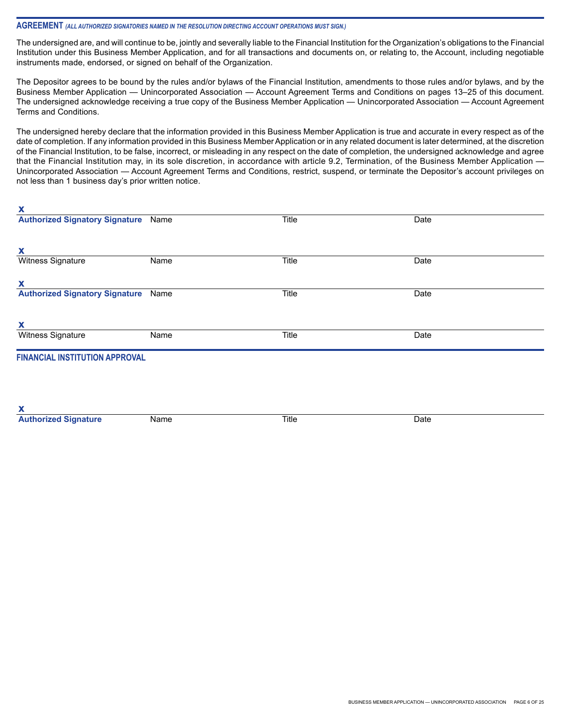#### **AGREEMENT** *(ALL AUTHORIZED SIGNATORIES NAMED IN THE RESOLUTION DIRECTING ACCOUNT OPERATIONS MUST SIGN.)*

**x**

**x**

The undersigned are, and will continue to be, jointly and severally liable to the Financial Institution for the Organization's obligations to the Financial Institution under this Business Member Application, and for all transactions and documents on, or relating to, the Account, including negotiable instruments made, endorsed, or signed on behalf of the Organization.

The Depositor agrees to be bound by the rules and/or bylaws of the Financial Institution, amendments to those rules and/or bylaws, and by the Business Member Application — Unincorporated Association — Account Agreement Terms and Conditions on pages 13–25 of this document. The undersigned acknowledge receiving a true copy of the Business Member Application — Unincorporated Association — Account Agreement Terms and Conditions.

The undersigned hereby declare that the information provided in this Business Member Application is true and accurate in every respect as of the date of completion. If any information provided in this Business Member Application or in any related document is later determined, at the discretion of the Financial Institution, to be false, incorrect, or misleading in any respect on the date of completion, the undersigned acknowledge and agree that the Financial Institution may, in its sole discretion, in accordance with article 9.2, Termination, of the Business Member Application -Unincorporated Association — Account Agreement Terms and Conditions, restrict, suspend, or terminate the Depositor's account privileges on not less than 1 business day's prior written notice.

| ^                                     |      |       |      |  |
|---------------------------------------|------|-------|------|--|
| <b>Authorized Signatory Signature</b> | Name | Title | Date |  |
|                                       |      |       |      |  |
| x                                     |      |       |      |  |
| Witness Signature                     | Name | Title | Date |  |
|                                       |      |       |      |  |
| X                                     |      |       |      |  |
| <b>Authorized Signatory Signature</b> | Name | Title | Date |  |
|                                       |      |       |      |  |
| X                                     |      |       |      |  |
| Witness Signature                     | Name | Title | Date |  |
| <b>FINANCIAL INSTITUTION APPROVAL</b> |      |       |      |  |
|                                       |      |       |      |  |
|                                       |      |       |      |  |
|                                       |      |       |      |  |
|                                       |      |       |      |  |

| - - -                     |      |       |      |
|---------------------------|------|-------|------|
| ышашк<br><b>LANDRON A</b> | Name | Title | Date |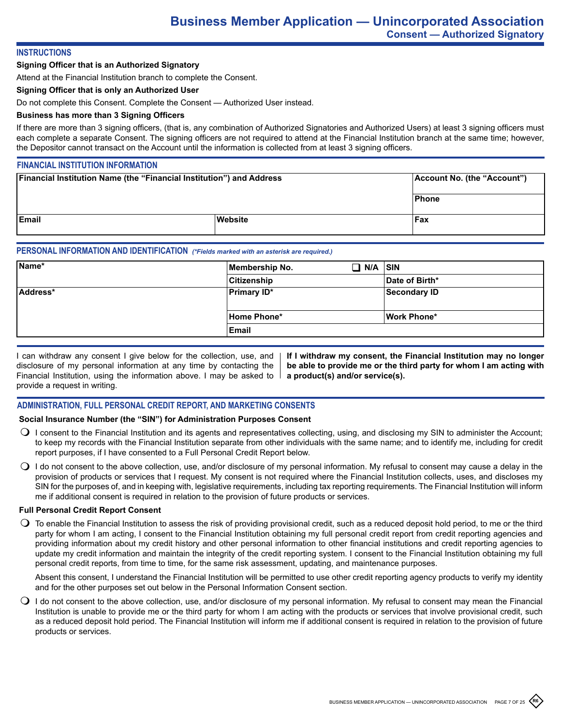## **INSTRUCTIONS**

#### **Signing Officer that is an Authorized Signatory**

Attend at the Financial Institution branch to complete the Consent.

#### **Signing Officer that is only an Authorized User**

Do not complete this Consent. Complete the Consent — Authorized User instead.

### **Business has more than 3 Signing Officers**

If there are more than 3 signing officers, (that is, any combination of Authorized Signatories and Authorized Users) at least 3 signing officers must each complete a separate Consent. The signing officers are not required to attend at the Financial Institution branch at the same time; however, the Depositor cannot transact on the Account until the information is collected from at least 3 signing officers.

#### **FINANCIAL INSTITUTION INFORMATION**

| <b>Financial Institution Name (the "Financial Institution") and Address</b> |         | Account No. (the "Account") |
|-----------------------------------------------------------------------------|---------|-----------------------------|
|                                                                             |         | <b>Phone</b>                |
| <b>IEmail</b>                                                               | Website | Fax                         |

## **PERSONAL INFORMATION AND IDENTIFICATION** *(\*Fields marked with an asterisk are required.)*

| Name*    | Membership No.     | $\Box$ N/A $\vert$ sin |                    |
|----------|--------------------|------------------------|--------------------|
|          | Citizenship        |                        | Date of Birth*     |
| Address* | <b>Primary ID*</b> |                        | Secondary ID       |
|          | Home Phone*        |                        | <b>Work Phone*</b> |
|          | Email              |                        |                    |

I can withdraw any consent I give below for the collection, use, and disclosure of my personal information at any time by contacting the Financial Institution, using the information above. I may be asked to provide a request in writing.

**If I withdraw my consent, the Financial Institution may no longer be able to provide me or the third party for whom I am acting with a product(s) and/or service(s).**

## **ADMINISTRATION, FULL PERSONAL CREDIT REPORT, AND MARKETING CONSENTS**

### **Social Insurance Number (the "SIN") for Administration Purposes Consent**

- $\bigcirc$  I consent to the Financial Institution and its agents and representatives collecting, using, and disclosing my SIN to administer the Account; to keep my records with the Financial Institution separate from other individuals with the same name; and to identify me, including for credit report purposes, if I have consented to a Full Personal Credit Report below.
- $\bigcirc$  I do not consent to the above collection, use, and/or disclosure of my personal information. My refusal to consent may cause a delay in the provision of products or services that I request. My consent is not required where the Financial Institution collects, uses, and discloses my SIN for the purposes of, and in keeping with, legislative requirements, including tax reporting requirements. The Financial Institution will inform me if additional consent is required in relation to the provision of future products or services.

#### **Full Personal Credit Report Consent**

 $\bigcirc$  To enable the Financial Institution to assess the risk of providing provisional credit, such as a reduced deposit hold period, to me or the third party for whom I am acting, I consent to the Financial Institution obtaining my full personal credit report from credit reporting agencies and providing information about my credit history and other personal information to other financial institutions and credit reporting agencies to update my credit information and maintain the integrity of the credit reporting system. I consent to the Financial Institution obtaining my full personal credit reports, from time to time, for the same risk assessment, updating, and maintenance purposes.

Absent this consent, I understand the Financial Institution will be permitted to use other credit reporting agency products to verify my identity and for the other purposes set out below in the Personal Information Consent section.

 $\bigcirc$  I do not consent to the above collection, use, and/or disclosure of my personal information. My refusal to consent may mean the Financial Institution is unable to provide me or the third party for whom I am acting with the products or services that involve provisional credit, such as a reduced deposit hold period. The Financial Institution will inform me if additional consent is required in relation to the provision of future products or services.

**R6**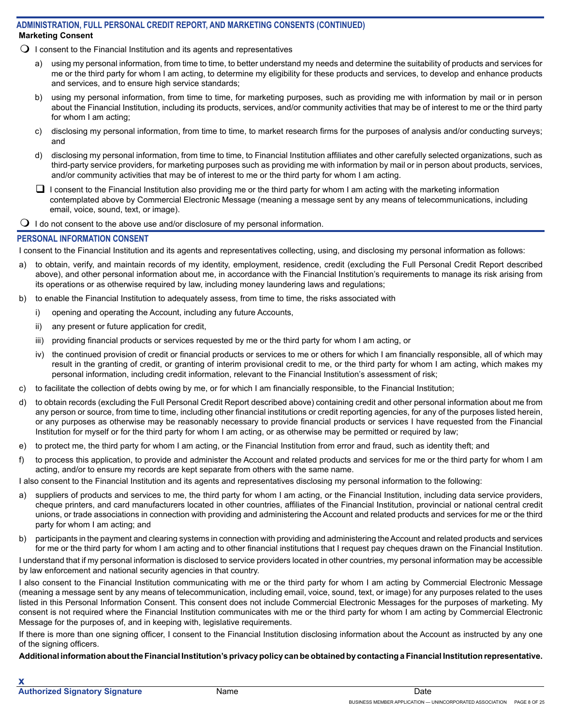## **Marketing Consent ADMINISTRATION, FULL PERSONAL CREDIT REPORT, AND MARKETING CONSENTS (CONTINUED)**

- $\Omega$  I consent to the Financial Institution and its agents and representatives
	- a) using my personal information, from time to time, to better understand my needs and determine the suitability of products and services for me or the third party for whom I am acting, to determine my eligibility for these products and services, to develop and enhance products and services, and to ensure high service standards;
	- b) using my personal information, from time to time, for marketing purposes, such as providing me with information by mail or in person about the Financial Institution, including its products, services, and/or community activities that may be of interest to me or the third party for whom I am acting;
	- c) disclosing my personal information, from time to time, to market research firms for the purposes of analysis and/or conducting surveys; and
	- d) disclosing my personal information, from time to time, to Financial Institution affiliates and other carefully selected organizations, such as third-party service providers, for marketing purposes such as providing me with information by mail or in person about products, services, and/or community activities that may be of interest to me or the third party for whom I am acting.
	- $\Box$  I consent to the Financial Institution also providing me or the third party for whom I am acting with the marketing information contemplated above by Commercial Electronic Message (meaning a message sent by any means of telecommunications, including email, voice, sound, text, or image).
- $\Box$  I do not consent to the above use and/or disclosure of my personal information.

## **PERSONAL INFORMATION CONSENT**

I consent to the Financial Institution and its agents and representatives collecting, using, and disclosing my personal information as follows:

- a) to obtain, verify, and maintain records of my identity, employment, residence, credit (excluding the Full Personal Credit Report described above), and other personal information about me, in accordance with the Financial Institution's requirements to manage its risk arising from its operations or as otherwise required by law, including money laundering laws and regulations;
- b) to enable the Financial Institution to adequately assess, from time to time, the risks associated with
	- i) opening and operating the Account, including any future Accounts,
	- ii) any present or future application for credit,
	- iii) providing financial products or services requested by me or the third party for whom I am acting, or
	- iv) the continued provision of credit or financial products or services to me or others for which I am financially responsible, all of which may result in the granting of credit, or granting of interim provisional credit to me, or the third party for whom I am acting, which makes my personal information, including credit information, relevant to the Financial Institution's assessment of risk;
- c) to facilitate the collection of debts owing by me, or for which I am financially responsible, to the Financial Institution;
- d) to obtain records (excluding the Full Personal Credit Report described above) containing credit and other personal information about me from any person or source, from time to time, including other financial institutions or credit reporting agencies, for any of the purposes listed herein, or any purposes as otherwise may be reasonably necessary to provide financial products or services I have requested from the Financial Institution for myself or for the third party for whom I am acting, or as otherwise may be permitted or required by law;
- e) to protect me, the third party for whom I am acting, or the Financial Institution from error and fraud, such as identity theft; and
- f) to process this application, to provide and administer the Account and related products and services for me or the third party for whom I am acting, and/or to ensure my records are kept separate from others with the same name.

I also consent to the Financial Institution and its agents and representatives disclosing my personal information to the following:

- a) suppliers of products and services to me, the third party for whom I am acting, or the Financial Institution, including data service providers, cheque printers, and card manufacturers located in other countries, affiliates of the Financial Institution, provincial or national central credit unions, or trade associations in connection with providing and administering the Account and related products and services for me or the third party for whom I am acting; and
- b) participants in the payment and clearing systems in connection with providing and administering the Account and related products and services for me or the third party for whom I am acting and to other financial institutions that I request pay cheques drawn on the Financial Institution.

I understand that if my personal information is disclosed to service providers located in other countries, my personal information may be accessible by law enforcement and national security agencies in that country.

I also consent to the Financial Institution communicating with me or the third party for whom I am acting by Commercial Electronic Message (meaning a message sent by any means of telecommunication, including email, voice, sound, text, or image) for any purposes related to the uses listed in this Personal Information Consent. This consent does not include Commercial Electronic Messages for the purposes of marketing. My consent is not required where the Financial Institution communicates with me or the third party for whom I am acting by Commercial Electronic Message for the purposes of, and in keeping with, legislative requirements.

If there is more than one signing officer, I consent to the Financial Institution disclosing information about the Account as instructed by any one of the signing officers.

## **Additional information about the Financial Institution's privacy policy can be obtained by contacting a Financial Institution representative.**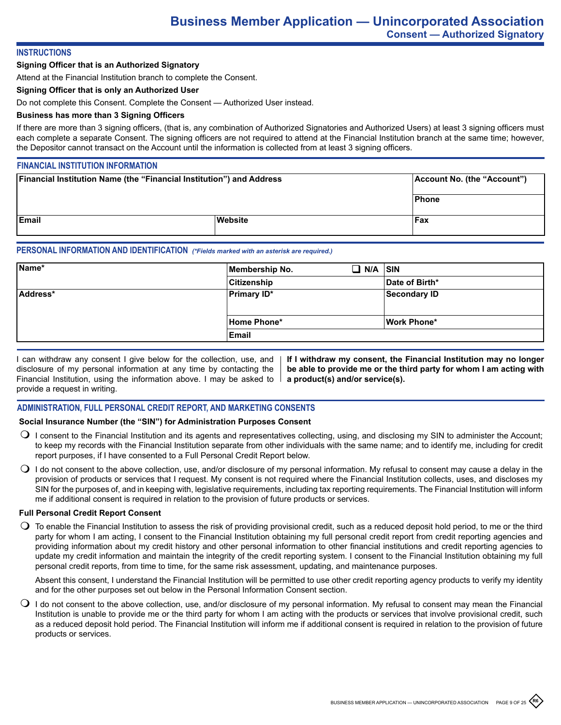## **INSTRUCTIONS**

#### **Signing Officer that is an Authorized Signatory**

Attend at the Financial Institution branch to complete the Consent.

#### **Signing Officer that is only an Authorized User**

Do not complete this Consent. Complete the Consent — Authorized User instead.

#### **Business has more than 3 Signing Officers**

If there are more than 3 signing officers, (that is, any combination of Authorized Signatories and Authorized Users) at least 3 signing officers must each complete a separate Consent. The signing officers are not required to attend at the Financial Institution branch at the same time; however, the Depositor cannot transact on the Account until the information is collected from at least 3 signing officers.

# **FINANCIAL INSTITUTION INFORMATION**

| <b>Financial Institution Name (the "Financial Institution") and Address</b> |         | Account No. (the "Account") |
|-----------------------------------------------------------------------------|---------|-----------------------------|
|                                                                             |         | Phone                       |
| <b>Email</b>                                                                | Website | <b>Fax</b>                  |

#### **PERSONAL INFORMATION AND IDENTIFICATION** *(\*Fields marked with an asterisk are required.)*

| Name*    | Membership No.     | $\Box$ N/A $\vert$ SIN |                    |
|----------|--------------------|------------------------|--------------------|
|          | <b>Citizenship</b> |                        | Date of Birth*     |
| Address* | <b>Primary ID*</b> |                        | Secondary ID       |
|          |                    |                        |                    |
|          | Home Phone*        |                        | <b>Work Phone*</b> |
|          | Email              |                        |                    |

I can withdraw any consent I give below for the collection, use, and disclosure of my personal information at any time by contacting the Financial Institution, using the information above. I may be asked to  $\parallel$ provide a request in writing.

**If I withdraw my consent, the Financial Institution may no longer be able to provide me or the third party for whom I am acting with a product(s) and/or service(s).**

### **ADMINISTRATION, FULL PERSONAL CREDIT REPORT, AND MARKETING CONSENTS**

### **Social Insurance Number (the "SIN") for Administration Purposes Consent**

- $\bigcirc$  I consent to the Financial Institution and its agents and representatives collecting, using, and disclosing my SIN to administer the Account; to keep my records with the Financial Institution separate from other individuals with the same name; and to identify me, including for credit report purposes, if I have consented to a Full Personal Credit Report below.
- $\bigcirc$  I do not consent to the above collection, use, and/or disclosure of my personal information. My refusal to consent may cause a delay in the provision of products or services that I request. My consent is not required where the Financial Institution collects, uses, and discloses my SIN for the purposes of, and in keeping with, legislative requirements, including tax reporting requirements. The Financial Institution will inform me if additional consent is required in relation to the provision of future products or services.

#### **Full Personal Credit Report Consent**

 $\bigcirc$  To enable the Financial Institution to assess the risk of providing provisional credit, such as a reduced deposit hold period, to me or the third party for whom I am acting, I consent to the Financial Institution obtaining my full personal credit report from credit reporting agencies and providing information about my credit history and other personal information to other financial institutions and credit reporting agencies to update my credit information and maintain the integrity of the credit reporting system. I consent to the Financial Institution obtaining my full personal credit reports, from time to time, for the same risk assessment, updating, and maintenance purposes.

Absent this consent, I understand the Financial Institution will be permitted to use other credit reporting agency products to verify my identity and for the other purposes set out below in the Personal Information Consent section.

 $\bigcirc$  I do not consent to the above collection, use, and/or disclosure of my personal information. My refusal to consent may mean the Financial Institution is unable to provide me or the third party for whom I am acting with the products or services that involve provisional credit, such as a reduced deposit hold period. The Financial Institution will inform me if additional consent is required in relation to the provision of future products or services.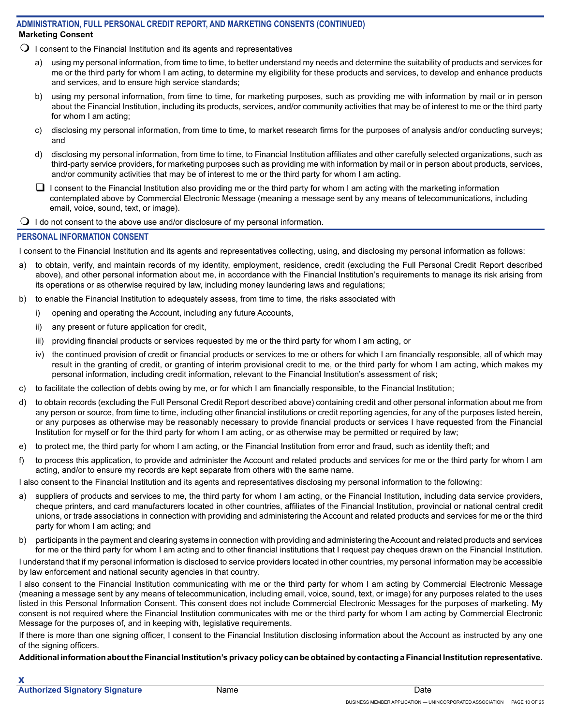## **Marketing Consent ADMINISTRATION, FULL PERSONAL CREDIT REPORT, AND MARKETING CONSENTS (CONTINUED)**

- $\Omega$  I consent to the Financial Institution and its agents and representatives
	- a) using my personal information, from time to time, to better understand my needs and determine the suitability of products and services for me or the third party for whom I am acting, to determine my eligibility for these products and services, to develop and enhance products and services, and to ensure high service standards;
	- b) using my personal information, from time to time, for marketing purposes, such as providing me with information by mail or in person about the Financial Institution, including its products, services, and/or community activities that may be of interest to me or the third party for whom I am acting;
	- c) disclosing my personal information, from time to time, to market research firms for the purposes of analysis and/or conducting surveys; and
	- d) disclosing my personal information, from time to time, to Financial Institution affiliates and other carefully selected organizations, such as third-party service providers, for marketing purposes such as providing me with information by mail or in person about products, services, and/or community activities that may be of interest to me or the third party for whom I am acting.
	- $\Box$  I consent to the Financial Institution also providing me or the third party for whom I am acting with the marketing information contemplated above by Commercial Electronic Message (meaning a message sent by any means of telecommunications, including email, voice, sound, text, or image).
- $\bigcirc$  I do not consent to the above use and/or disclosure of my personal information.

## **PERSONAL INFORMATION CONSENT**

I consent to the Financial Institution and its agents and representatives collecting, using, and disclosing my personal information as follows:

- a) to obtain, verify, and maintain records of my identity, employment, residence, credit (excluding the Full Personal Credit Report described above), and other personal information about me, in accordance with the Financial Institution's requirements to manage its risk arising from its operations or as otherwise required by law, including money laundering laws and regulations;
- b) to enable the Financial Institution to adequately assess, from time to time, the risks associated with
	- i) opening and operating the Account, including any future Accounts,
	- ii) any present or future application for credit,
	- iii) providing financial products or services requested by me or the third party for whom I am acting, or
	- iv) the continued provision of credit or financial products or services to me or others for which I am financially responsible, all of which may result in the granting of credit, or granting of interim provisional credit to me, or the third party for whom I am acting, which makes my personal information, including credit information, relevant to the Financial Institution's assessment of risk;
- c) to facilitate the collection of debts owing by me, or for which I am financially responsible, to the Financial Institution;
- d) to obtain records (excluding the Full Personal Credit Report described above) containing credit and other personal information about me from any person or source, from time to time, including other financial institutions or credit reporting agencies, for any of the purposes listed herein, or any purposes as otherwise may be reasonably necessary to provide financial products or services I have requested from the Financial Institution for myself or for the third party for whom I am acting, or as otherwise may be permitted or required by law;
- e) to protect me, the third party for whom I am acting, or the Financial Institution from error and fraud, such as identity theft; and
- f) to process this application, to provide and administer the Account and related products and services for me or the third party for whom I am acting, and/or to ensure my records are kept separate from others with the same name.

I also consent to the Financial Institution and its agents and representatives disclosing my personal information to the following:

- a) suppliers of products and services to me, the third party for whom I am acting, or the Financial Institution, including data service providers, cheque printers, and card manufacturers located in other countries, affiliates of the Financial Institution, provincial or national central credit unions, or trade associations in connection with providing and administering the Account and related products and services for me or the third party for whom I am acting; and
- b) participants in the payment and clearing systems in connection with providing and administering the Account and related products and services for me or the third party for whom I am acting and to other financial institutions that I request pay cheques drawn on the Financial Institution.

I understand that if my personal information is disclosed to service providers located in other countries, my personal information may be accessible by law enforcement and national security agencies in that country.

I also consent to the Financial Institution communicating with me or the third party for whom I am acting by Commercial Electronic Message (meaning a message sent by any means of telecommunication, including email, voice, sound, text, or image) for any purposes related to the uses listed in this Personal Information Consent. This consent does not include Commercial Electronic Messages for the purposes of marketing. My consent is not required where the Financial Institution communicates with me or the third party for whom I am acting by Commercial Electronic Message for the purposes of, and in keeping with, legislative requirements.

If there is more than one signing officer, I consent to the Financial Institution disclosing information about the Account as instructed by any one of the signing officers.

## **Additional information about the Financial Institution's privacy policy can be obtained by contacting a Financial Institution representative.**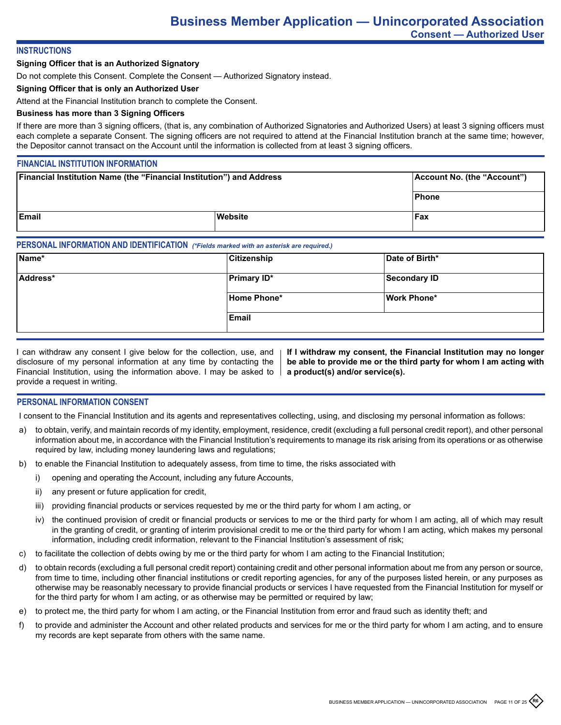#### **INSTRUCTIONS**

#### **Signing Officer that is an Authorized Signatory**

Do not complete this Consent. Complete the Consent — Authorized Signatory instead.

#### **Signing Officer that is only an Authorized User**

Attend at the Financial Institution branch to complete the Consent.

#### **Business has more than 3 Signing Officers**

If there are more than 3 signing officers, (that is, any combination of Authorized Signatories and Authorized Users) at least 3 signing officers must each complete a separate Consent. The signing officers are not required to attend at the Financial Institution branch at the same time; however, the Depositor cannot transact on the Account until the information is collected from at least 3 signing officers.

#### **FINANCIAL INSTITUTION INFORMATION**

| <b>Financial Institution Name (the "Financial Institution") and Address</b> |         | Account No. (the "Account") |
|-----------------------------------------------------------------------------|---------|-----------------------------|
|                                                                             |         | <b>Phone</b>                |
| <b>IEmail</b>                                                               | Website | <b>Fax</b>                  |

#### **PERSONAL INFORMATION AND IDENTIFICATION** *(\*Fields marked with an asterisk are required.)*

| Citizenship        | Date of Birth*     |
|--------------------|--------------------|
| <b>Primary ID*</b> | Secondary ID       |
| Home Phone*        | <b>Work Phone*</b> |
| Email              |                    |
|                    |                    |

I can withdraw any consent I give below for the collection, use, and disclosure of my personal information at any time by contacting the Financial Institution, using the information above. I may be asked to provide a request in writing.

**If I withdraw my consent, the Financial Institution may no longer be able to provide me or the third party for whom I am acting with a product(s) and/or service(s).**

### **PERSONAL INFORMATION CONSENT**

I consent to the Financial Institution and its agents and representatives collecting, using, and disclosing my personal information as follows:

- a) to obtain, verify, and maintain records of my identity, employment, residence, credit (excluding a full personal credit report), and other personal information about me, in accordance with the Financial Institution's requirements to manage its risk arising from its operations or as otherwise required by law, including money laundering laws and regulations;
- b) to enable the Financial Institution to adequately assess, from time to time, the risks associated with
	- i) opening and operating the Account, including any future Accounts,
	- ii) any present or future application for credit,
	- iii) providing financial products or services requested by me or the third party for whom I am acting, or
	- iv) the continued provision of credit or financial products or services to me or the third party for whom I am acting, all of which may result in the granting of credit, or granting of interim provisional credit to me or the third party for whom I am acting, which makes my personal information, including credit information, relevant to the Financial Institution's assessment of risk;
- c) to facilitate the collection of debts owing by me or the third party for whom I am acting to the Financial Institution;
- d) to obtain records (excluding a full personal credit report) containing credit and other personal information about me from any person or source, from time to time, including other financial institutions or credit reporting agencies, for any of the purposes listed herein, or any purposes as otherwise may be reasonably necessary to provide financial products or services I have requested from the Financial Institution for myself or for the third party for whom I am acting, or as otherwise may be permitted or required by law;
- e) to protect me, the third party for whom I am acting, or the Financial Institution from error and fraud such as identity theft; and
- f) to provide and administer the Account and other related products and services for me or the third party for whom I am acting, and to ensure my records are kept separate from others with the same name.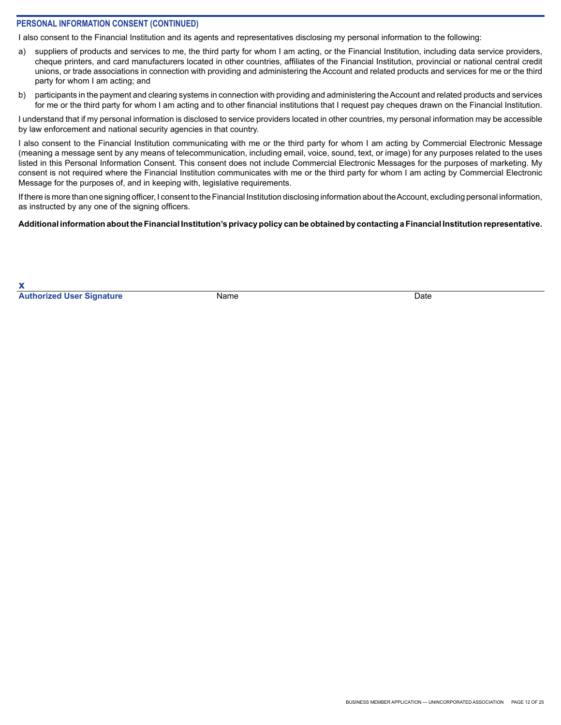## **PERSONAL INFORMATION CONSENT (CONTINUED)**

I also consent to the Financial Institution and its agents and representatives disclosing my personal information to the following:

- a) suppliers of products and services to me, the third party for whom I am acting, or the Financial Institution, including data service providers, cheque printers, and card manufacturers located in other countries, affiliates of the Financial Institution, provincial or national central credit unions, or trade associations in connection with providing and administering the Account and related products and services for me or the third party for whom I am acting; and
- b) participants in the payment and clearing systems in connection with providing and administering the Account and related products and services for me or the third party for whom I am acting and to other financial institutions that I request pay cheques drawn on the Financial Institution.

I understand that if my personal information is disclosed to service providers located in other countries, my personal information may be accessible by law enforcement and national security agencies in that country.

I also consent to the Financial Institution communicating with me or the third party for whom I am acting by Commercial Electronic Message (meaning a message sent by any means of telecommunication, including email, voice, sound, text, or image) for any purposes related to the uses listed in this Personal Information Consent. This consent does not include Commercial Electronic Messages for the purposes of marketing. My consent is not required where the Financial Institution communicates with me or the third party for whom I am acting by Commercial Electronic Message for the purposes of, and in keeping with, legislative requirements.

If there is more than one signing officer, I consent to the Financial Institution disclosing information about the Account, excluding personal information, as instructed by any one of the signing officers.

#### **Additional information about the Financial Institution's privacy policy can be obtained by contacting a Financial Institution representative.**

**x Authorized User Signature** Name Name **Name Date** Date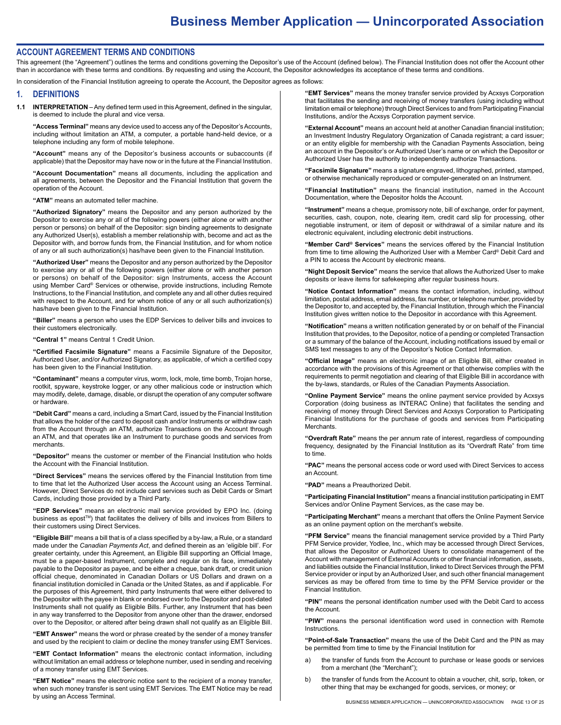#### **ACCOUNT AGREEMENT TERMS AND CONDITIONS**

This agreement (the "Agreement") outlines the terms and conditions governing the Depositor's use of the Account (defined below). The Financial Institution does not offer the Account other than in accordance with these terms and conditions. By requesting and using the Account, the Depositor acknowledges its acceptance of these terms and conditions.

In consideration of the Financial Institution agreeing to operate the Account, the Depositor agrees as follows:

#### **1. DEFINITIONS**

**1.1 INTERPRETATION** – Any defined term used in this Agreement, defined in the singular, is deemed to include the plural and vice versa.

**"Access Terminal"** means any device used to access any of the Depositor's Accounts, including without limitation an ATM, a computer, a portable hand-held device, or a telephone including any form of mobile telephone.

**"Account"** means any of the Depositor's business accounts or subaccounts (if applicable) that the Depositor may have now or in the future at the Financial Institution.

**"Account Documentation"** means all documents, including the application and all agreements, between the Depositor and the Financial Institution that govern the operation of the Account.

**"ATM"** means an automated teller machine.

**"Authorized Signatory"** means the Depositor and any person authorized by the Depositor to exercise any or all of the following powers (either alone or with another person or persons) on behalf of the Depositor: sign binding agreements to designate any Authorized User(s), establish a member relationship with, become and act as the Depositor with, and borrow funds from, the Financial Institution, and for whom notice of any or all such authorization(s) has/have been given to the Financial Institution.

**"Authorized User"** means the Depositor and any person authorized by the Depositor to exercise any or all of the following powers (either alone or with another person or persons) on behalf of the Depositor: sign Instruments, access the Account using Member Card® Services or otherwise, provide instructions, including Remote Instructions, to the Financial Institution, and complete any and all other duties required with respect to the Account, and for whom notice of any or all such authorization(s) has/have been given to the Financial Institution.

**"Biller"** means a person who uses the EDP Services to deliver bills and invoices to their customers electronically.

**"Central 1"** means Central 1 Credit Union.

**"Certified Facsimile Signature"** means a Facsimile Signature of the Depositor, Authorized User, and/or Authorized Signatory, as applicable, of which a certified copy has been given to the Financial Institution.

**"Contaminant"** means a computer virus, worm, lock, mole, time bomb, Trojan horse, rootkit, spyware, keystroke logger, or any other malicious code or instruction which may modify, delete, damage, disable, or disrupt the operation of any computer software or hardware.

**"Debit Card"** means a card, including a Smart Card, issued by the Financial Institution that allows the holder of the card to deposit cash and/or Instruments or withdraw cash from the Account through an ATM, authorize Transactions on the Account through an ATM, and that operates like an Instrument to purchase goods and services from **merchants** 

**"Depositor"** means the customer or member of the Financial Institution who holds the Account with the Financial Institution.

**"Direct Services"** means the services offered by the Financial Institution from time to time that let the Authorized User access the Account using an Access Terminal. However, Direct Services do not include card services such as Debit Cards or Smart Cards, including those provided by a Third Party.

**"EDP Services"** means an electronic mail service provided by EPO Inc. (doing business as epost™) that facilitates the delivery of bills and invoices from Billers to their customers using Direct Services.

**"Eligible Bill"** means a bill that is of a class specified by a by-law, a Rule, or a standard made under the *Canadian Payments Act*, and defined therein as an 'eligible bill'. For greater certainty, under this Agreement, an Eligible Bill supporting an Official Image, must be a paper-based Instrument, complete and regular on its face, immediately payable to the Depositor as payee, and be either a cheque, bank draft, or credit union official cheque, denominated in Canadian Dollars or US Dollars and drawn on a financial institution domiciled in Canada or the United States, as and if applicable. For the purposes of this Agreement, third party Instruments that were either delivered to the Depositor with the payee in blank or endorsed over to the Depositor and post-dated Instruments shall not qualify as Eligible Bills. Further, any Instrument that has been in any way transferred to the Depositor from anyone other than the drawer, endorsed over to the Depositor, or altered after being drawn shall not qualify as an Eligible Bill.

**"EMT Answer"** means the word or phrase created by the sender of a money transfer and used by the recipient to claim or decline the money transfer using EMT Services.

**"EMT Contact Information"** means the electronic contact information, including without limitation an email address or telephone number, used in sending and receiving of a money transfer using EMT Services.

**"EMT Notice"** means the electronic notice sent to the recipient of a money transfer, when such money transfer is sent using EMT Services. The EMT Notice may be read by using an Access Terminal.

**"EMT Services"** means the money transfer service provided by Acxsys Corporation that facilitates the sending and receiving of money transfers (using including without limitation email or telephone) through Direct Services to and from Participating Financial Institutions, and/or the Acxsys Corporation payment service.

**"External Account"** means an account held at another Canadian financial institution; an Investment Industry Regulatory Organization of Canada registrant; a card issuer; or an entity eligible for membership with the Canadian Payments Association, being an account in the Depositor's or Authorized User's name or on which the Depositor or Authorized User has the authority to independently authorize Transactions.

**"Facsimile Signature"** means a signature engraved, lithographed, printed, stamped, or otherwise mechanically reproduced or computer-generated on an Instrument.

**"Financial Institution"** means the financial institution, named in the Account Documentation, where the Depositor holds the Account.

**"Instrument"** means a cheque, promissory note, bill of exchange, order for payment, securities, cash, coupon, note, clearing item, credit card slip for processing, other negotiable instrument, or item of deposit or withdrawal of a similar nature and its electronic equivalent, including electronic debit instructions.

**"Member Card® Services"** means the services offered by the Financial Institution from time to time allowing the Authorized User with a Member Card® Debit Card and a PIN to access the Account by electronic means.

**"Night Deposit Service"** means the service that allows the Authorized User to make deposits or leave items for safekeeping after regular business hours.

**"Notice Contact Information"** means the contact information, including, without limitation, postal address, email address, fax number, or telephone number, provided by the Depositor to, and accepted by, the Financial Institution, through which the Financial Institution gives written notice to the Depositor in accordance with this Agreement.

**"Notification"** means a written notification generated by or on behalf of the Financial Institution that provides, to the Depositor, notice of a pending or completed Transaction or a summary of the balance of the Account, including notifications issued by email or SMS text messages to any of the Depositor's Notice Contact Information.

**"Official Image"** means an electronic image of an Eligible Bill, either created in accordance with the provisions of this Agreement or that otherwise complies with the requirements to permit negotiation and clearing of that Eligible Bill in accordance with the by-laws, standards, or Rules of the Canadian Payments Association.

**"Online Payment Service"** means the online payment service provided by Acxsys Corporation (doing business as INTERAC Online) that facilitates the sending and receiving of money through Direct Services and Acxsys Corporation to Participating Financial Institutions for the purchase of goods and services from Participating **Merchants** 

**"Overdraft Rate"** means the per annum rate of interest, regardless of compounding frequency, designated by the Financial Institution as its "Overdraft Rate" from time to time.

**"PAC"** means the personal access code or word used with Direct Services to access an Account.

**"PAD"** means a Preauthorized Debit.

**"Participating Financial Institution"** means a financial institution participating in EMT Services and/or Online Payment Services, as the case may be.

**"Participating Merchant"** means a merchant that offers the Online Payment Service as an online payment option on the merchant's website.

**"PFM Service"** means the financial management service provided by a Third Party PFM Service provider, Yodlee, Inc., which may be accessed through Direct Services, that allows the Depositor or Authorized Users to consolidate management of the Account with management of External Accounts or other financial information, assets, and liabilities outside the Financial Institution, linked to Direct Services through the PFM Service provider or input by an Authorized User, and such other financial management services as may be offered from time to time by the PFM Service provider or the Financial Institution.

**"PIN"** means the personal identification number used with the Debit Card to access the Account.

**"PIW"** means the personal identification word used in connection with Remote **Instructions** 

**"Point-of-Sale Transaction"** means the use of the Debit Card and the PIN as may be permitted from time to time by the Financial Institution for

- a) the transfer of funds from the Account to purchase or lease goods or services from a merchant (the "Merchant");
- b) the transfer of funds from the Account to obtain a voucher, chit, scrip, token, or other thing that may be exchanged for goods, services, or money; or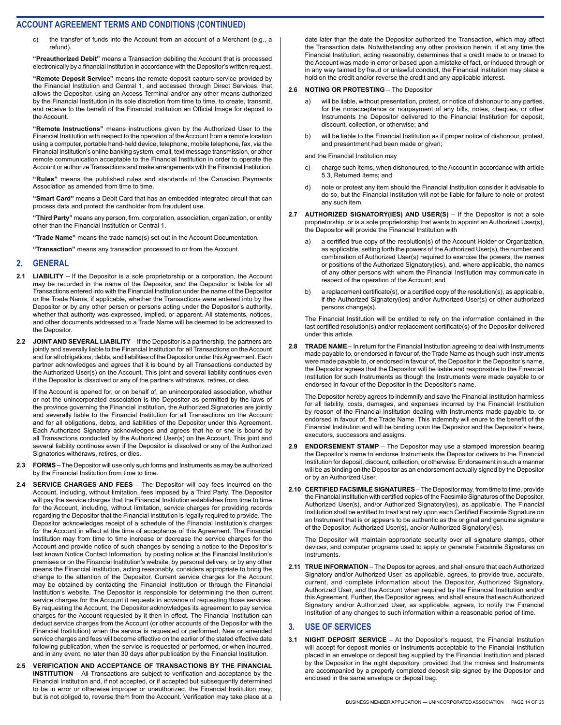c) the transfer of funds into the Account from an account of a Merchant (e.g., a refund).

**"Preauthorized Debit"** means a Transaction debiting the Account that is processed electronically by a financial institution in accordance with the Depositor's written request.

**"Remote Deposit Service"** means the remote deposit capture service provided by the Financial Institution and Central 1, and accessed through Direct Services, that allows the Depositor, using an Access Terminal and/or any other means authorized by the Financial Institution in its sole discretion from time to time, to create, transmit, and receive to the benefit of the Financial Institution an Official Image for deposit to the Account.

**"Remote Instructions"** means instructions given by the Authorized User to the Financial Institution with respect to the operation of the Account from a remote location using a computer, portable hand-held device, telephone, mobile telephone, fax, via the Financial Institution's online banking system, email, text message transmission, or other remote communication acceptable to the Financial Institution in order to operate the Account or authorize Transactions and make arrangements with the Financial Institution.

**"Rules"** means the published rules and standards of the Canadian Payments Association as amended from time to time.

**"Smart Card"** means a Debit Card that has an embedded integrated circuit that can process data and protect the cardholder from fraudulent use.

**"Third Party"** means any person, firm, corporation, association, organization, or entity other than the Financial Institution or Central 1.

**"Trade Name"** means the trade name(s) set out in the Account Documentation.

**"Transaction"** means any transaction processed to or from the Account.

#### **2. GENERAL**

- **2.1 LIABILITY** If the Depositor is a sole proprietorship or a corporation, the Account may be recorded in the name of the Depositor, and the Depositor is liable for all Transactions entered into with the Financial Institution under the name of the Depositor or the Trade Name, if applicable, whether the Transactions were entered into by the Depositor or by any other person or persons acting under the Depositor's authority, whether that authority was expressed, implied, or apparent. All statements, notices, and other documents addressed to a Trade Name will be deemed to be addressed to the Depositor.
- **2.2 JOINT AND SEVERAL LIABILITY** If the Depositor is a partnership, the partners are jointly and severally liable to the Financial Institution for all Transactions on the Account and for all obligations, debts, and liabilities of the Depositor under this Agreement. Each partner acknowledges and agrees that it is bound by all Transactions conducted by the Authorized User(s) on the Account. This joint and several liability continues even if the Depositor is dissolved or any of the partners withdraws, retires, or dies.

If the Account is opened for, or on behalf of, an unincorporated association, whether or not the unincorporated association is the Depositor as permitted by the laws of the province governing the Financial Institution, the Authorized Signatories are jointly and severally liable to the Financial Institution for all Transactions on the Account and for all obligations, debts, and liabilities of the Depositor under this Agreement. Each Authorized Signatory acknowledges and agrees that he or she is bound by all Transactions conducted by the Authorized User(s) on the Account. This joint and several liability continues even if the Depositor is dissolved or any of the Authorized Signatories withdraws, retires, or dies.

- **2.3 FORMS**  The Depositor will use only such forms and Instruments as may be authorized by the Financial Institution from time to time.
- **2.4 SERVICE CHARGES AND FEES** The Depositor will pay fees incurred on the Account, including, without limitation, fees imposed by a Third Party. The Depositor will pay the service charges that the Financial Institution establishes from time to time for the Account, including, without limitation, service charges for providing records regarding the Depositor that the Financial Institution is legally required to provide. The Depositor acknowledges receipt of a schedule of the Financial Institution's charges for the Account in effect at the time of acceptance of this Agreement. The Financial Institution may from time to time increase or decrease the service charges for the Account and provide notice of such changes by sending a notice to the Depositor's last known Notice Contact Information, by posting notice at the Financial Institution's premises or on the Financial Institution's website, by personal delivery, or by any other means the Financial Institution, acting reasonably, considers appropriate to bring the change to the attention of the Depositor. Current service charges for the Account may be obtained by contacting the Financial Institution or through the Financial Institution's website. The Depositor is responsible for determining the then current service charges for the Account it requests in advance of requesting those services. By requesting the Account, the Depositor acknowledges its agreement to pay service charges for the Account requested by it then in effect. The Financial Institution can deduct service charges from the Account (or other accounts of the Depositor with the Financial Institution) when the service is requested or performed. New or amended service charges and fees will become effective on the earlier of the stated effective date following publication, when the service is requested or performed, or when incurred, and in any event, no later than 30 days after publication by the Financial Institution.
- **2.5 VERIFICATION AND ACCEPTANCE OF TRANSACTIONS BY THE FINANCIAL INSTITUTION** – All Transactions are subject to verification and acceptance by the Financial Institution and, if not accepted, or if accepted but subsequently determined to be in error or otherwise improper or unauthorized, the Financial Institution may, but is not obliged to, reverse them from the Account. Verification may take place at a

date later than the date the Depositor authorized the Transaction, which may affect the Transaction date. Notwithstanding any other provision herein, if at any time the Financial Institution, acting reasonably, determines that a credit made to or traced to the Account was made in error or based upon a mistake of fact, or induced through or in any way tainted by fraud or unlawful conduct, the Financial Institution may place a hold on the credit and/or reverse the credit and any applicable interest.

#### **2.6 NOTING OR PROTESTING** – The Depositor

- a) will be liable, without presentation, protest, or notice of dishonour to any parties, for the nonacceptance or nonpayment of any bills, notes, cheques, or other Instruments the Depositor delivered to the Financial Institution for deposit, discount, collection, or otherwise; and
- b) will be liable to the Financial Institution as if proper notice of dishonour, protest, and presentment had been made or given;

and the Financial Institution may

- c) charge such items, when dishonoured, to the Account in accordance with article 5.3, Returned Items; and
- d) note or protest any item should the Financial Institution consider it advisable to do so, but the Financial Institution will not be liable for failure to note or protest any such item.
- **2.7 AUTHORIZED SIGNATORY(IES) AND USER(S)**  If the Depositor is not a sole proprietorship, or is a sole proprietorship that wants to appoint an Authorized User(s), the Depositor will provide the Financial Institution with
	- a) a certified true copy of the resolution(s) of the Account Holder or Organization, as applicable, setting forth the powers of the Authorized User(s), the number and combination of Authorized User(s) required to exercise the powers, the names or positions of the Authorized Signatory(ies), and, where applicable, the names of any other persons with whom the Financial Institution may communicate in respect of the operation of the Account; and
	- b) a replacement certificate(s), or a certified copy of the resolution(s), as applicable, if the Authorized Signatory(ies) and/or Authorized User(s) or other authorized persons change(s).

The Financial Institution will be entitled to rely on the information contained in the last certified resolution(s) and/or replacement certificate(s) of the Depositor delivered under this article.

**2.8 TRADE NAME** – In return for the Financial Institution agreeing to deal with Instruments made payable to, or endorsed in favour of, the Trade Name as though such Instruments were made payable to, or endorsed in favour of, the Depositor in the Depositor's name, the Depositor agrees that the Depositor will be liable and responsible to the Financial Institution for such Instruments as though the Instruments were made payable to or endorsed in favour of the Depositor in the Depositor's name.

The Depositor hereby agrees to indemnify and save the Financial Institution harmless for all liability, costs, damages, and expenses incurred by the Financial Institution by reason of the Financial Institution dealing with Instruments made payable to, or endorsed in favour of, the Trade Name. This indemnity will enure to the benefit of the Financial Institution and will be binding upon the Depositor and the Depositor's heirs, executors, successors and assigns.

- **2.9 ENDORSEMENT STAMP** The Depositor may use a stamped impression bearing the Depositor's name to endorse Instruments the Depositor delivers to the Financial Institution for deposit, discount, collection, or otherwise. Endorsement in such a manner will be as binding on the Depositor as an endorsement actually signed by the Depositor or by an Authorized User.
- **2.10 CERTIFIED FACSIMILE SIGNATURES** The Depositor may, from time to time, provide the Financial Institution with certified copies of the Facsimile Signatures of the Depositor, Authorized User(s), and/or Authorized Signatory(ies), as applicable. The Financial Institution shall be entitled to treat and rely upon each Certified Facsimile Signature on an Instrument that is or appears to be authentic as the original and genuine signature of the Depositor, Authorized User(s), and/or Authorized Signatory(ies).

The Depositor will maintain appropriate security over all signature stamps, other devices, and computer programs used to apply or generate Facsimile Signatures on Instruments.

**2.11 TRUE INFORMATION** – The Depositor agrees, and shall ensure that each Authorized Signatory and/or Authorized User, as applicable, agrees, to provide true, accurate, current, and complete information about the Depositor, Authorized Signatory, Authorized User, and the Account when required by the Financial Institution and/or this Agreement. Further, the Depositor agrees, and shall ensure that each Authorized Signatory and/or Authorized User, as applicable, agrees, to notify the Financial Institution of any changes to such information within a reasonable period of time.

#### **3. USE OF SERVICES**

**3.1 NIGHT DEPOSIT SERVICE** – At the Depositor's request, the Financial Institution will accept for deposit monies or Instruments acceptable to the Financial Institution placed in an envelope or deposit bag supplied by the Financial Institution and placed by the Depositor in the night depository, provided that the monies and Instruments are accompanied by a properly completed deposit slip signed by the Depositor and enclosed in the same envelope or deposit bag.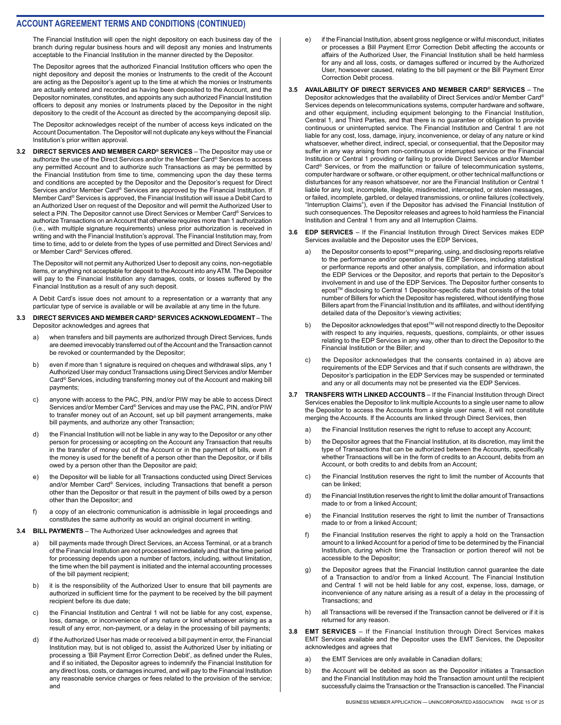The Financial Institution will open the night depository on each business day of the branch during regular business hours and will deposit any monies and Instruments acceptable to the Financial Institution in the manner directed by the Depositor.

The Depositor agrees that the authorized Financial Institution officers who open the night depository and deposit the monies or Instruments to the credit of the Account are acting as the Depositor's agent up to the time at which the monies or Instruments are actually entered and recorded as having been deposited to the Account, and the Depositor nominates, constitutes, and appoints any such authorized Financial Institution officers to deposit any monies or Instruments placed by the Depositor in the night depository to the credit of the Account as directed by the accompanying deposit slip.

The Depositor acknowledges receipt of the number of access keys indicated on the Account Documentation. The Depositor will not duplicate any keys without the Financial Institution's prior written approval.

**3.2 DIRECT SERVICES AND MEMBER CARD® SERVICES** – The Depositor may use or authorize the use of the Direct Services and/or the Member Card® Services to access any permitted Account and to authorize such Transactions as may be permitted by the Financial Institution from time to time, commencing upon the day these terms and conditions are accepted by the Depositor and the Depositor's request for Direct Services and/or Member Card® Services are approved by the Financial Institution. If Member Card® Services is approved, the Financial Institution will issue a Debit Card to an Authorized User on request of the Depositor and will permit the Authorized User to select a PIN. The Depositor cannot use Direct Services or Member Card® Services to authorize Transactions on an Account that otherwise requires more than 1 authorization (i.e., with multiple signature requirements) unless prior authorization is received in writing and with the Financial Institution's approval. The Financial Institution may, from time to time, add to or delete from the types of use permitted and Direct Services and/ or Member Card® Services offered.

The Depositor will not permit any Authorized User to deposit any coins, non-negotiable items, or anything not acceptable for deposit to the Account into any ATM. The Depositor will pay to the Financial Institution any damages, costs, or losses suffered by the Financial Institution as a result of any such deposit.

A Debit Card's issue does not amount to a representation or a warranty that any particular type of service is available or will be available at any time in the future.

#### **3.3 DIRECT SERVICES AND MEMBER CARD® SERVICES ACKNOWLEDGMENT** – The Depositor acknowledges and agrees that

- when transfers and bill payments are authorized through Direct Services, funds are deemed irrevocably transferred out of the Account and the Transaction cannot be revoked or countermanded by the Depositor;
- b) even if more than 1 signature is required on cheques and withdrawal slips, any 1 Authorized User may conduct Transactions using Direct Services and/or Member Card® Services, including transferring money out of the Account and making bill payments;
- c) anyone with access to the PAC, PIN, and/or PIW may be able to access Direct Services and/or Member Card® Services and may use the PAC, PIN, and/or PIW to transfer money out of an Account, set up bill payment arrangements, make bill payments, and authorize any other Transaction;
- d) the Financial Institution will not be liable in any way to the Depositor or any other person for processing or accepting on the Account any Transaction that results in the transfer of money out of the Account or in the payment of bills, even if the money is used for the benefit of a person other than the Depositor, or if bills owed by a person other than the Depositor are paid;
- e) the Depositor will be liable for all Transactions conducted using Direct Services and/or Member Card® Services, including Transactions that benefit a person other than the Depositor or that result in the payment of bills owed by a person other than the Depositor; and
- f) a copy of an electronic communication is admissible in legal proceedings and constitutes the same authority as would an original document in writing.
- **3.4 BILL PAYMENTS** The Authorized User acknowledges and agrees that
	- a) bill payments made through Direct Services, an Access Terminal, or at a branch of the Financial Institution are not processed immediately and that the time period for processing depends upon a number of factors, including, without limitation, the time when the bill payment is initiated and the internal accounting processes of the bill payment recipient;
	- b) it is the responsibility of the Authorized User to ensure that bill payments are authorized in sufficient time for the payment to be received by the bill payment recipient before its due date;
	- c) the Financial Institution and Central 1 will not be liable for any cost, expense, loss, damage, or inconvenience of any nature or kind whatsoever arising as a result of any error, non-payment, or a delay in the processing of bill payments;
	- d) if the Authorized User has made or received a bill payment in error, the Financial Institution may, but is not obliged to, assist the Authorized User by initiating or processing a 'Bill Payment Error Correction Debit', as defined under the Rules, and if so initiated, the Depositor agrees to indemnify the Financial Institution for any direct loss, costs, or damages incurred, and will pay to the Financial Institution any reasonable service charges or fees related to the provision of the service; and
- e) if the Financial Institution, absent gross negligence or wilful misconduct, initiates or processes a Bill Payment Error Correction Debit affecting the accounts or affairs of the Authorized User, the Financial Institution shall be held harmless for any and all loss, costs, or damages suffered or incurred by the Authorized User, howsoever caused, relating to the bill payment or the Bill Payment Error Correction Debit process.
- **3.5 AVAILABILITY OF DIRECT SERVICES AND MEMBER CARD® SERVICES** The Depositor acknowledges that the availability of Direct Services and/or Member Card® Services depends on telecommunications systems, computer hardware and software, and other equipment, including equipment belonging to the Financial Institution, Central 1, and Third Parties, and that there is no guarantee or obligation to provide continuous or uninterrupted service. The Financial Institution and Central 1 are not liable for any cost, loss, damage, injury, inconvenience, or delay of any nature or kind whatsoever, whether direct, indirect, special, or consequential, that the Depositor may suffer in any way arising from non-continuous or interrupted service or the Financial Institution or Central 1 providing or failing to provide Direct Services and/or Member Card® Services, or from the malfunction or failure of telecommunication systems, computer hardware or software, or other equipment, or other technical malfunctions or disturbances for any reason whatsoever, nor are the Financial Institution or Central 1 liable for any lost, incomplete, illegible, misdirected, intercepted, or stolen messages, or failed, incomplete, garbled, or delayed transmissions, or online failures (collectively, "Interruption Claims"), even if the Depositor has advised the Financial Institution of such consequences. The Depositor releases and agrees to hold harmless the Financial Institution and Central 1 from any and all Interruption Claims.

#### **3.6 EDP SERVICES** – If the Financial Institution through Direct Services makes EDP Services available and the Depositor uses the EDP Services,

- a) the Depositor consents to epost™ preparing, using, and disclosing reports relative to the performance and/or operation of the EDP Services, including statistical or performance reports and other analysis, compilation, and information about the EDP Services or the Depositor, and reports that pertain to the Depositor's involvement in and use of the EDP Services. The Depositor further consents to epost™ disclosing to Central 1 Depositor-specific data that consists of the total number of Billers for which the Depositor has registered, without identifying those Billers apart from the Financial Institution and its affiliates, and without identifying detailed data of the Depositor's viewing activities;
- b) the Depositor acknowledges that epost™ will not respond directly to the Depositor with respect to any inquiries, requests, questions, complaints, or other issues relating to the EDP Services in any way, other than to direct the Depositor to the Financial Institution or the Biller; and
- c) the Depositor acknowledges that the consents contained in a) above are requirements of the EDP Services and that if such consents are withdrawn, the Depositor's participation in the EDP Services may be suspended or terminated and any or all documents may not be presented via the EDP Services.
- **3.7 TRANSFERS WITH LINKED ACCOUNTS** If the Financial Institution through Direct Services enables the Depositor to link multiple Accounts to a single user name to allow the Depositor to access the Accounts from a single user name, it will not constitute merging the Accounts. If the Accounts are linked through Direct Services, then
	- a) the Financial Institution reserves the right to refuse to accept any Account;
	- b) the Depositor agrees that the Financial Institution, at its discretion, may limit the type of Transactions that can be authorized between the Accounts, specifically whether Transactions will be in the form of credits to an Account, debits from an Account, or both credits to and debits from an Account;
	- c) the Financial Institution reserves the right to limit the number of Accounts that can be linked;
	- d) the Financial Institution reserves the right to limit the dollar amount of Transactions made to or from a linked Account:
	- e) the Financial Institution reserves the right to limit the number of Transactions made to or from a linked Account:
	- f) the Financial Institution reserves the right to apply a hold on the Transaction amount to a linked Account for a period of time to be determined by the Financial Institution, during which time the Transaction or portion thereof will not be accessible to the Depositor;
	- g) the Depositor agrees that the Financial Institution cannot guarantee the date of a Transaction to and/or from a linked Account. The Financial Institution and Central 1 will not be held liable for any cost, expense, loss, damage, or inconvenience of any nature arising as a result of a delay in the processing of Transactions; and
	- h) all Transactions will be reversed if the Transaction cannot be delivered or if it is returned for any reason.
- **3.8 EMT SERVICES** If the Financial Institution through Direct Services makes EMT Services available and the Depositor uses the EMT Services, the Depositor acknowledges and agrees that
	- a) the EMT Services are only available in Canadian dollars;
	- b) the Account will be debited as soon as the Depositor initiates a Transaction and the Financial Institution may hold the Transaction amount until the recipient successfully claims the Transaction or the Transaction is cancelled. The Financial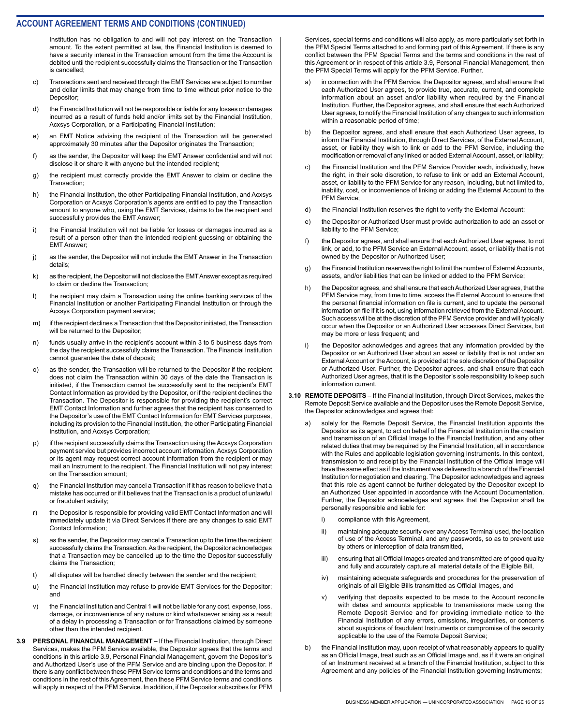Institution has no obligation to and will not pay interest on the Transaction amount. To the extent permitted at law, the Financial Institution is deemed to have a security interest in the Transaction amount from the time the Account is debited until the recipient successfully claims the Transaction or the Transaction is cancelled;

- c) Transactions sent and received through the EMT Services are subject to number and dollar limits that may change from time to time without prior notice to the Depositor;
- d) the Financial Institution will not be responsible or liable for any losses or damages incurred as a result of funds held and/or limits set by the Financial Institution, Acxsys Corporation, or a Participating Financial Institution;
- e) an EMT Notice advising the recipient of the Transaction will be generated approximately 30 minutes after the Depositor originates the Transaction;
- f) as the sender, the Depositor will keep the EMT Answer confidential and will not disclose it or share it with anyone but the intended recipient;
- g) the recipient must correctly provide the EMT Answer to claim or decline the Transaction;
- h) the Financial Institution, the other Participating Financial Institution, and Acxsys Corporation or Acxsys Corporation's agents are entitled to pay the Transaction amount to anyone who, using the EMT Services, claims to be the recipient and successfully provides the EMT Answer;
- i) the Financial Institution will not be liable for losses or damages incurred as a result of a person other than the intended recipient guessing or obtaining the EMT Answer;
- j) as the sender, the Depositor will not include the EMT Answer in the Transaction details;
- k) as the recipient, the Depositor will not disclose the EMT Answer except as required to claim or decline the Transaction;
- l) the recipient may claim a Transaction using the online banking services of the Financial Institution or another Participating Financial Institution or through the Acxsys Corporation payment service;
- m) if the recipient declines a Transaction that the Depositor initiated, the Transaction will be returned to the Depositor:
- n) funds usually arrive in the recipient's account within 3 to 5 business days from the day the recipient successfully claims the Transaction. The Financial Institution cannot guarantee the date of deposit;
- o) as the sender, the Transaction will be returned to the Depositor if the recipient does not claim the Transaction within 30 days of the date the Transaction is initiated, if the Transaction cannot be successfully sent to the recipient's EMT Contact Information as provided by the Depositor, or if the recipient declines the Transaction. The Depositor is responsible for providing the recipient's correct EMT Contact Information and further agrees that the recipient has consented to the Depositor's use of the EMT Contact Information for EMT Services purposes, including its provision to the Financial Institution, the other Participating Financial Institution, and Acxsys Corporation;
- p) if the recipient successfully claims the Transaction using the Acxsys Corporation payment service but provides incorrect account information, Acxsys Corporation or its agent may request correct account information from the recipient or may mail an Instrument to the recipient. The Financial Institution will not pay interest on the Transaction amount;
- q) the Financial Institution may cancel a Transaction if it has reason to believe that a mistake has occurred or if it believes that the Transaction is a product of unlawful or fraudulent activity;
- r) the Depositor is responsible for providing valid EMT Contact Information and will immediately update it via Direct Services if there are any changes to said EMT Contact Information;
- s) as the sender, the Depositor may cancel a Transaction up to the time the recipient successfully claims the Transaction. As the recipient, the Depositor acknowledges that a Transaction may be cancelled up to the time the Depositor successfully claims the Transaction;
- t) all disputes will be handled directly between the sender and the recipient;
- u) the Financial Institution may refuse to provide EMT Services for the Depositor; and
- v) the Financial Institution and Central 1 will not be liable for any cost, expense, loss, damage, or inconvenience of any nature or kind whatsoever arising as a result of a delay in processing a Transaction or for Transactions claimed by someone other than the intended recipient.
- **3.9 PERSONAL FINANCIAL MANAGEMENT**  If the Financial Institution, through Direct Services, makes the PFM Service available, the Depositor agrees that the terms and conditions in this article 3.9, Personal Financial Management, govern the Depositor's and Authorized User's use of the PFM Service and are binding upon the Depositor. If there is any conflict between these PFM Service terms and conditions and the terms and conditions in the rest of this Agreement, then these PFM Service terms and conditions will apply in respect of the PFM Service. In addition, if the Depositor subscribes for PFM

Services, special terms and conditions will also apply, as more particularly set forth in the PFM Special Terms attached to and forming part of this Agreement. If there is any conflict between the PFM Special Terms and the terms and conditions in the rest of this Agreement or in respect of this article 3.9, Personal Financial Management, then the PFM Special Terms will apply for the PFM Service. Further,

- a) in connection with the PFM Service, the Depositor agrees, and shall ensure that each Authorized User agrees, to provide true, accurate, current, and complete information about an asset and/or liability when required by the Financial Institution. Further, the Depositor agrees, and shall ensure that each Authorized User agrees, to notify the Financial Institution of any changes to such information within a reasonable period of time;
- b) the Depositor agrees, and shall ensure that each Authorized User agrees, to inform the Financial Institution, through Direct Services, of the External Account, asset, or liability they wish to link or add to the PFM Service, including the modification or removal of any linked or added External Account, asset, or liability;
- c) the Financial Institution and the PFM Service Provider each, individually, have the right, in their sole discretion, to refuse to link or add an External Account, asset, or liability to the PFM Service for any reason, including, but not limited to, inability, cost, or inconvenience of linking or adding the External Account to the PFM Service;
- d) the Financial Institution reserves the right to verify the External Account;
- e) the Depositor or Authorized User must provide authorization to add an asset or liability to the PFM Service;
- f) the Depositor agrees, and shall ensure that each Authorized User agrees, to not link, or add, to the PFM Service an External Account, asset, or liability that is not owned by the Depositor or Authorized User;
- g) the Financial Institution reserves the right to limit the number of External Accounts, assets, and/or liabilities that can be linked or added to the PFM Service;
- h) the Depositor agrees, and shall ensure that each Authorized User agrees, that the PFM Service may, from time to time, access the External Account to ensure that the personal financial information on file is current, and to update the personal information on file if it is not, using information retrieved from the External Account. Such access will be at the discretion of the PFM Service provider and will typically occur when the Depositor or an Authorized User accesses Direct Services, but may be more or less frequent; and
- i) the Depositor acknowledges and agrees that any information provided by the Depositor or an Authorized User about an asset or liability that is not under an External Account or the Account, is provided at the sole discretion of the Depositor or Authorized User. Further, the Depositor agrees, and shall ensure that each Authorized User agrees, that it is the Depositor's sole responsibility to keep such information current.
- **3.10 REMOTE DEPOSITS** If the Financial Institution, through Direct Services, makes the Remote Deposit Service available and the Depositor uses the Remote Deposit Service, the Depositor acknowledges and agrees that:
	- a) solely for the Remote Deposit Service, the Financial Institution appoints the Depositor as its agent, to act on behalf of the Financial Institution in the creation and transmission of an Official Image to the Financial Institution, and any other related duties that may be required by the Financial Institution, all in accordance with the Rules and applicable legislation governing Instruments. In this context, transmission to and receipt by the Financial Institution of the Official Image will have the same effect as if the Instrument was delivered to a branch of the Financial Institution for negotiation and clearing. The Depositor acknowledges and agrees that this role as agent cannot be further delegated by the Depositor except to an Authorized User appointed in accordance with the Account Documentation. Further, the Depositor acknowledges and agrees that the Depositor shall be personally responsible and liable for:
		- i) compliance with this Agreement,
		- ii) maintaining adequate security over any Access Terminal used, the location of use of the Access Terminal, and any passwords, so as to prevent use by others or interception of data transmitted,
		- iii) ensuring that all Official Images created and transmitted are of good quality and fully and accurately capture all material details of the Eligible Bill,
		- iv) maintaining adequate safeguards and procedures for the preservation of originals of all Eligible Bills transmitted as Official Images, and
		- v) verifying that deposits expected to be made to the Account reconcile with dates and amounts applicable to transmissions made using the Remote Deposit Service and for providing immediate notice to the Financial Institution of any errors, omissions, irregularities, or concerns about suspicions of fraudulent Instruments or compromise of the security applicable to the use of the Remote Deposit Service;
	- b) the Financial Institution may, upon receipt of what reasonably appears to qualify as an Official Image, treat such as an Official Image and, as if it were an original of an Instrument received at a branch of the Financial Institution, subject to this Agreement and any policies of the Financial Institution governing Instruments;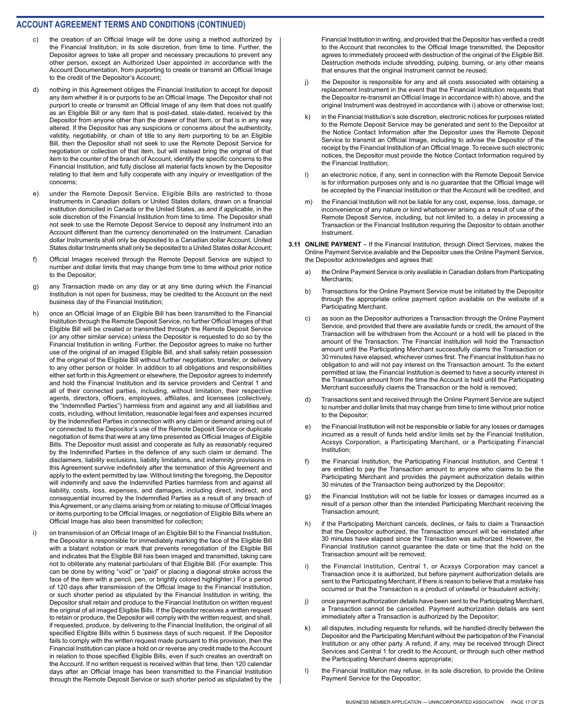- the creation of an Official Image will be done using a method authorized by the Financial Institution, in its sole discretion, from time to time. Further, the Depositor agrees to take all proper and necessary precautions to prevent any other person, except an Authorized User appointed in accordance with the Account Documentation, from purporting to create or transmit an Official Image to the credit of the Depositor's Account;
- d) nothing in this Agreement obliges the Financial Institution to accept for deposit any item whether it is or purports to be an Official Image. The Depositor shall not purport to create or transmit an Official Image of any item that does not qualify as an Eligible Bill or any item that is post-dated, stale-dated, received by the Depositor from anyone other than the drawer of that item, or that is in any way altered. If the Depositor has any suspicions or concerns about the authenticity, validity, negotiability, or chain of title to any item purporting to be an Eligible Bill, then the Depositor shall not seek to use the Remote Deposit Service for negotiation or collection of that item, but will instead bring the original of that item to the counter of the branch of Account, identify the specific concerns to the Financial Institution, and fully disclose all material facts known by the Depositor relating to that item and fully cooperate with any inquiry or investigation of the concerns;
- e) under the Remote Deposit Service, Eligible Bills are restricted to those Instruments in Canadian dollars or United States dollars, drawn on a financial institution domiciled in Canada or the United States, as and if applicable, in the sole discretion of the Financial Institution from time to time. The Depositor shall not seek to use the Remote Deposit Service to deposit any Instrument into an Account different than the currency denominated on the Instrument. Canadian dollar Instruments shall only be deposited to a Canadian dollar Account. United States dollar Instruments shall only be deposited to a United States dollar Account;
- f) Official Images received through the Remote Deposit Service are subject to number and dollar limits that may change from time to time without prior notice to the Depositor;
- g) any Transaction made on any day or at any time during which the Financial Institution is not open for business, may be credited to the Account on the next business day of the Financial Institution;
- h) once an Official Image of an Eligible Bill has been transmitted to the Financial Institution through the Remote Deposit Service, no further Official Images of that Eligible Bill will be created or transmitted through the Remote Deposit Service (or any other similar service) unless the Depositor is requested to do so by the Financial Institution in writing. Further, the Depositor agrees to make no further use of the original of an imaged Eligible Bill, and shall safely retain possession of the original of the Eligible Bill without further negotiation, transfer, or delivery to any other person or holder. In addition to all obligations and responsibilities either set forth in this Agreement or elsewhere, the Depositor agrees to indemnify and hold the Financial Institution and its service providers and Central 1 and all of their connected parties, including, without limitation, their respective agents, directors, officers, employees, affiliates, and licensees (collectively, the "Indemnified Parties") harmless from and against any and all liabilities and costs, including, without limitation, reasonable legal fees and expenses incurred by the Indemnified Parties in connection with any claim or demand arising out of or connected to the Depositor's use of the Remote Deposit Service or duplicate negotiation of items that were at any time presented as Official Images of Eligible Bills. The Depositor must assist and cooperate as fully as reasonably required by the Indemnified Parties in the defence of any such claim or demand. The disclaimers, liability exclusions, liability limitations, and indemnity provisions in this Agreement survive indefinitely after the termination of this Agreement and apply to the extent permitted by law. Without limiting the foregoing, the Depositor will indemnify and save the Indemnified Parties harmless from and against all liability, costs, loss, expenses, and damages, including direct, indirect, and consequential incurred by the Indemnified Parties as a result of any breach of this Agreement, or any claims arising from or relating to misuse of Official Images or items purporting to be Official Images, or negotiation of Eligible Bills where an Official Image has also been transmitted for collection;
- i) on transmission of an Official Image of an Eligible Bill to the Financial Institution, the Depositor is responsible for immediately marking the face of the Eligible Bill with a blatant notation or mark that prevents renegotiation of the Eligible Bill and indicates that the Eligible Bill has been imaged and transmitted, taking care not to obliterate any material particulars of that Eligible Bill. (For example: This can be done by writing "void" or "paid" or placing a diagonal stroke across the face of the item with a pencil, pen, or brightly colored highlighter.) For a period of 120 days after transmission of the Official Image to the Financial Institution, or such shorter period as stipulated by the Financial Institution in writing, the Depositor shall retain and produce to the Financial Institution on written request the original of all imaged Eligible Bills. If the Depositor receives a written request to retain or produce, the Depositor will comply with the written request, and shall, if requested, produce, by delivering to the Financial Institution, the original of all specified Eligible Bills within 5 business days of such request. If the Depositor fails to comply with the written request made pursuant to this provision, then the Financial Institution can place a hold on or reverse any credit made to the Account in relation to those specified Eligible Bills, even if such creates an overdraft on the Account. If no written request is received within that time, then 120 calendar days after an Official Image has been transmitted to the Financial Institution through the Remote Deposit Service or such shorter period as stipulated by the

Financial Institution in writing, and provided that the Depositor has verified a credit to the Account that reconciles to the Official Image transmitted, the Depositor agrees to immediately proceed with destruction of the original of the Eligible Bill. Destruction methods include shredding, pulping, burning, or any other means that ensures that the original Instrument cannot be reused;

- j) the Depositor is responsible for any and all costs associated with obtaining a replacement Instrument in the event that the Financial Institution requests that the Depositor re-transmit an Official Image in accordance with h) above, and the original Instrument was destroyed in accordance with i) above or otherwise lost;
- k) in the Financial Institution's sole discretion, electronic notices for purposes related to the Remote Deposit Service may be generated and sent to the Depositor at the Notice Contact Information after the Depositor uses the Remote Deposit Service to transmit an Official Image, including to advise the Depositor of the receipt by the Financial Institution of an Official Image. To receive such electronic notices, the Depositor must provide the Notice Contact Information required by the Financial Institution;
- l) an electronic notice, if any, sent in connection with the Remote Deposit Service is for information purposes only and is no guarantee that the Official Image will be accepted by the Financial Institution or that the Account will be credited; and
- the Financial Institution will not be liable for any cost, expense, loss, damage, or inconvenience of any nature or kind whatsoever arising as a result of use of the Remote Deposit Service, including, but not limited to, a delay in processing a Transaction or the Financial Institution requiring the Depositor to obtain another Instrument.
- **3.11 ONLINE PAYMENT** If the Financial Institution, through Direct Services, makes the Online Payment Service available and the Depositor uses the Online Payment Service, the Depositor acknowledges and agrees that:
	- a) the Online Payment Service is only available in Canadian dollars from Participating Merchants;
	- b) Transactions for the Online Payment Service must be initiated by the Depositor through the appropriate online payment option available on the website of a Participating Merchant;
	- c) as soon as the Depositor authorizes a Transaction through the Online Payment Service, and provided that there are available funds or credit, the amount of the Transaction will be withdrawn from the Account or a hold will be placed in the amount of the Transaction. The Financial Institution will hold the Transaction amount until the Participating Merchant successfully claims the Transaction or 30 minutes have elapsed, whichever comes first. The Financial Institution has no obligation to and will not pay interest on the Transaction amount. To the extent permitted at law, the Financial Institution is deemed to have a security interest in the Transaction amount from the time the Account is held until the Participating Merchant successfully claims the Transaction or the hold is removed;
	- d) Transactions sent and received through the Online Payment Service are subject to number and dollar limits that may change from time to time without prior notice to the Depositor;
	- e) the Financial Institution will not be responsible or liable for any losses or damages incurred as a result of funds held and/or limits set by the Financial Institution, Acxsys Corporation, a Participating Merchant, or a Participating Financial Institution;
	- f) the Financial Institution, the Participating Financial Institution, and Central 1 are entitled to pay the Transaction amount to anyone who claims to be the Participating Merchant and provides the payment authorization details within 30 minutes of the Transaction being authorized by the Depositor;
	- g) the Financial Institution will not be liable for losses or damages incurred as a result of a person other than the intended Participating Merchant receiving the Transaction amount;
	- h) if the Participating Merchant cancels, declines, or fails to claim a Transaction that the Depositor authorized, the Transaction amount will be reinstated after 30 minutes have elapsed since the Transaction was authorized. However, the Financial Institution cannot guarantee the date or time that the hold on the Transaction amount will be removed;
	- i) the Financial Institution, Central 1, or Acxsys Corporation may cancel a Transaction once it is authorized, but before payment authorization details are sent to the Participating Merchant, if there is reason to believe that a mistake has occurred or that the Transaction is a product of unlawful or fraudulent activity;
	- j) once payment authorization details have been sent to the Participating Merchant, a Transaction cannot be cancelled. Payment authorization details are sent immediately after a Transaction is authorized by the Depositor;
	- k) all disputes, including requests for refunds, will be handled directly between the Depositor and the Participating Merchant without the participation of the Financial Institution or any other party. A refund, if any, may be received through Direct Services and Central 1 for credit to the Account, or through such other method the Participating Merchant deems appropriate;
	- l) the Financial Institution may refuse, in its sole discretion, to provide the Online Payment Service for the Depositor;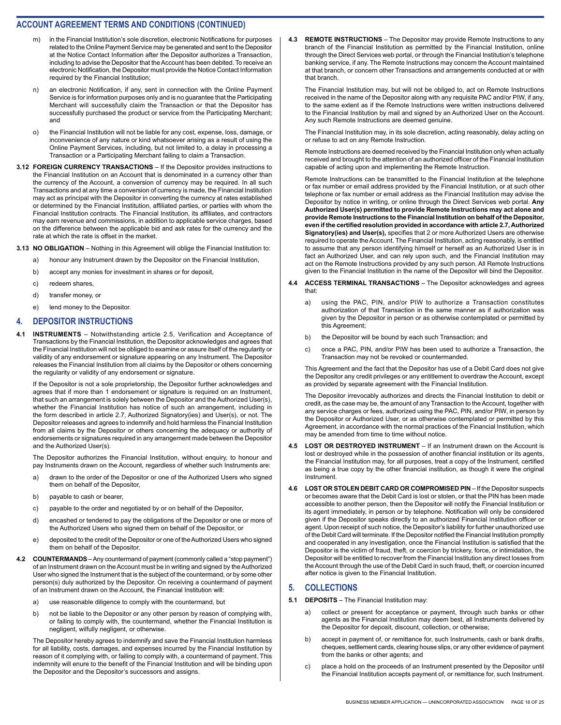- m) in the Financial Institution's sole discretion, electronic Notifications for purposes related to the Online Payment Service may be generated and sent to the Depositor at the Notice Contact Information after the Depositor authorizes a Transaction, including to advise the Depositor that the Account has been debited. To receive an electronic Notification, the Depositor must provide the Notice Contact Information required by the Financial Institution;
- n) an electronic Notification, if any, sent in connection with the Online Payment Service is for information purposes only and is no guarantee that the Participating Merchant will successfully claim the Transaction or that the Depositor has successfully purchased the product or service from the Participating Merchant; and
- o) the Financial Institution will not be liable for any cost, expense, loss, damage, or inconvenience of any nature or kind whatsoever arising as a result of using the Online Payment Services, including, but not limited to, a delay in processing a Transaction or a Participating Merchant failing to claim a Transaction.
- **3.12 FOREIGN CURRENCY TRANSACTIONS** If the Depositor provides instructions to the Financial Institution on an Account that is denominated in a currency other than the currency of the Account, a conversion of currency may be required. In all such Transactions and at any time a conversion of currency is made, the Financial Institution may act as principal with the Depositor in converting the currency at rates established or determined by the Financial Institution, affiliated parties, or parties with whom the Financial Institution contracts. The Financial Institution, its affiliates, and contractors may earn revenue and commissions, in addition to applicable service charges, based on the difference between the applicable bid and ask rates for the currency and the rate at which the rate is offset in the market.

**3.13 NO OBLIGATION** – Nothing in this Agreement will oblige the Financial Institution to:

- a) honour any Instrument drawn by the Depositor on the Financial Institution,
- b) accept any monies for investment in shares or for deposit,
- c) redeem shares,
- d) transfer money, or
- e) lend money to the Depositor.

#### **4. DEPOSITOR INSTRUCTIONS**

**INSTRUMENTS** – Notwithstanding article 2.5, Verification and Acceptance of Transactions by the Financial Institution, the Depositor acknowledges and agrees that the Financial Institution will not be obliged to examine or assure itself of the regularity or validity of any endorsement or signature appearing on any Instrument. The Depositor releases the Financial Institution from all claims by the Depositor or others concerning the regularity or validity of any endorsement or signature.

If the Depositor is not a sole proprietorship, the Depositor further acknowledges and agrees that if more than 1 endorsement or signature is required on an Instrument, that such an arrangement is solely between the Depositor and the Authorized User(s), whether the Financial Institution has notice of such an arrangement, including in the form described in article 2.7, Authorized Signatory(ies) and User(s), or not. The Depositor releases and agrees to indemnify and hold harmless the Financial Institution from all claims by the Depositor or others concerning the adequacy or authority of endorsements or signatures required in any arrangement made between the Depositor and the Authorized User(s).

The Depositor authorizes the Financial Institution, without enquiry, to honour and pay Instruments drawn on the Account, regardless of whether such Instruments are:

- a) drawn to the order of the Depositor or one of the Authorized Users who signed them on behalf of the Depositor,
- b) payable to cash or bearer,
- c) payable to the order and negotiated by or on behalf of the Depositor,
- d) encashed or tendered to pay the obligations of the Depositor or one or more of the Authorized Users who signed them on behalf of the Depositor, or
- e) deposited to the credit of the Depositor or one of the Authorized Users who signed them on behalf of the Depositor.
- **4.2 COUNTERMANDS**  Any countermand of payment (commonly called a "stop payment") of an Instrument drawn on the Account must be in writing and signed by the Authorized User who signed the Instrument that is the subject of the countermand, or by some other person(s) duly authorized by the Depositor. On receiving a countermand of payment of an Instrument drawn on the Account, the Financial Institution will:
	- a) use reasonable diligence to comply with the countermand, but
	- b) not be liable to the Depositor or any other person by reason of complying with, or failing to comply with, the countermand, whether the Financial Institution is negligent, wilfully negligent, or otherwise.

The Depositor hereby agrees to indemnify and save the Financial Institution harmless for all liability, costs, damages, and expenses incurred by the Financial Institution by reason of it complying with, or failing to comply with, a countermand of payment. This indemnity will enure to the benefit of the Financial Institution and will be binding upon the Depositor and the Depositor's successors and assigns.

**4.3 REMOTE INSTRUCTIONS** – The Depositor may provide Remote Instructions to any branch of the Financial Institution as permitted by the Financial Institution, online through the Direct Services web portal, or through the Financial Institution's telephone banking service, if any. The Remote Instructions may concern the Account maintained at that branch, or concern other Transactions and arrangements conducted at or with that branch.

The Financial Institution may, but will not be obliged to, act on Remote Instructions received in the name of the Depositor along with any requisite PAC and/or PIW, if any, to the same extent as if the Remote Instructions were written instructions delivered to the Financial Institution by mail and signed by an Authorized User on the Account. Any such Remote Instructions are deemed genuine.

The Financial Institution may, in its sole discretion, acting reasonably, delay acting on or refuse to act on any Remote Instruction.

Remote Instructions are deemed received by the Financial Institution only when actually received and brought to the attention of an authorized officer of the Financial Institution capable of acting upon and implementing the Remote Instruction.

Remote Instructions can be transmitted to the Financial Institution at the telephone or fax number or email address provided by the Financial Institution, or at such other telephone or fax number or email address as the Financial Institution may advise the Depositor by notice in writing, or online through the Direct Services web portal. **Any Authorized User(s) permitted to provide Remote Instructions may act alone and provide Remote Instructions to the Financial Institution on behalf of the Depositor, even if the certified resolution provided in accordance with article 2.7, Authorized Signatory(ies) and User(s),** specifies that 2 or more Authorized Users are otherwise required to operate the Account. The Financial Institution, acting reasonably, is entitled to assume that any person identifying himself or herself as an Authorized User is in fact an Authorized User, and can rely upon such, and the Financial Institution may act on the Remote Instructions provided by any such person. All Remote Instructions given to the Financial Institution in the name of the Depositor will bind the Depositor.

- **4.4 ACCESS TERMINAL TRANSACTIONS**  The Depositor acknowledges and agrees that:
	- a) using the PAC, PIN, and/or PIW to authorize a Transaction constitutes authorization of that Transaction in the same manner as if authorization was given by the Depositor in person or as otherwise contemplated or permitted by this Agreement;
	- b) the Depositor will be bound by each such Transaction; and
	- c) once a PAC, PIN, and/or PIW has been used to authorize a Transaction, the Transaction may not be revoked or countermanded.

This Agreement and the fact that the Depositor has use of a Debit Card does not give the Depositor any credit privileges or any entitlement to overdraw the Account, except as provided by separate agreement with the Financial Institution.

The Depositor irrevocably authorizes and directs the Financial Institution to debit or credit, as the case may be, the amount of any Transaction to the Account, together with any service charges or fees, authorized using the PAC, PIN, and/or PIW, in person by the Depositor or Authorized User, or as otherwise contemplated or permitted by this Agreement, in accordance with the normal practices of the Financial Institution, which may be amended from time to time without notice.

- **4.5 LOST OR DESTROYED INSTRUMENT**  If an Instrument drawn on the Account is lost or destroyed while in the possession of another financial institution or its agents, the Financial Institution may, for all purposes, treat a copy of the Instrument, certified as being a true copy by the other financial institution, as though it were the original **Instrument**
- **4.6 LOST OR STOLEN DEBIT CARD OR COMPROMISED PIN**  If the Depositor suspects or becomes aware that the Debit Card is lost or stolen, or that the PIN has been made accessible to another person, then the Depositor will notify the Financial Institution or its agent immediately, in person or by telephone. Notification will only be considered given if the Depositor speaks directly to an authorized Financial Institution officer or agent. Upon receipt of such notice, the Depositor's liability for further unauthorized use of the Debit Card will terminate. If the Depositor notified the Financial Institution promptly and cooperated in any investigation, once the Financial Institution is satisfied that the Depositor is the victim of fraud, theft, or coercion by trickery, force, or intimidation, the Depositor will be entitled to recover from the Financial Institution any direct losses from the Account through the use of the Debit Card in such fraud, theft, or coercion incurred after notice is given to the Financial Institution.

#### **5. COLLECTIONS**

- **5.1 DEPOSITS** The Financial Institution may:
	- a) collect or present for acceptance or payment, through such banks or other agents as the Financial Institution may deem best, all Instruments delivered by the Depositor for deposit, discount, collection, or otherwise;
	- b) accept in payment of, or remittance for, such Instruments, cash or bank drafts, cheques, settlement cards, clearing house slips, or any other evidence of payment from the banks or other agents; and
	- c) place a hold on the proceeds of an Instrument presented by the Depositor until the Financial Institution accepts payment of, or remittance for, such Instrument.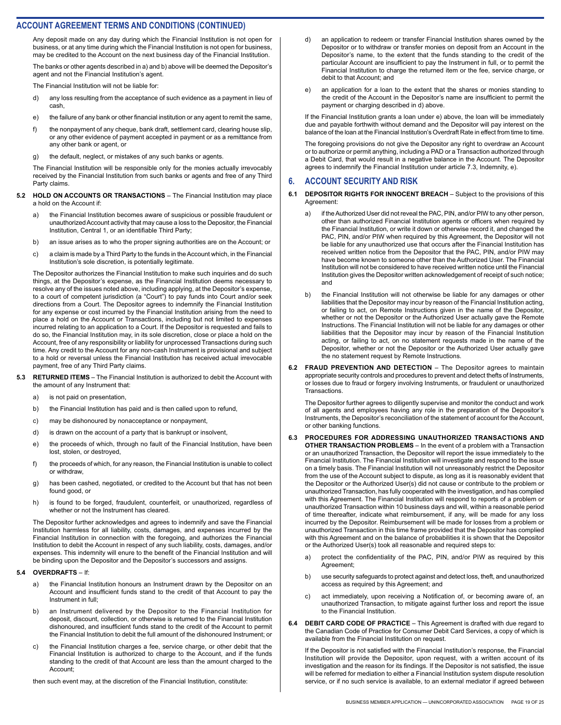Any deposit made on any day during which the Financial Institution is not open for business, or at any time during which the Financial Institution is not open for business, may be credited to the Account on the next business day of the Financial Institution.

The banks or other agents described in a) and b) above will be deemed the Depositor's agent and not the Financial Institution's agent.

The Financial Institution will not be liable for:

- d) any loss resulting from the acceptance of such evidence as a payment in lieu of cash,
- e) the failure of any bank or other financial institution or any agent to remit the same,
- f) the nonpayment of any cheque, bank draft, settlement card, clearing house slip, or any other evidence of payment accepted in payment or as a remittance from any other bank or agent, or
- g) the default, neglect, or mistakes of any such banks or agents.

The Financial Institution will be responsible only for the monies actually irrevocably received by the Financial Institution from such banks or agents and free of any Third Party claims.

- **5.2 HOLD ON ACCOUNTS OR TRANSACTIONS** The Financial Institution may place a hold on the Account if:
	- a) the Financial Institution becomes aware of suspicious or possible fraudulent or unauthorized Account activity that may cause a loss to the Depositor, the Financial Institution, Central 1, or an identifiable Third Party;
	- b) an issue arises as to who the proper signing authorities are on the Account; or
	- c) a claim is made by a Third Party to the funds in the Account which, in the Financial Institution's sole discretion, is potentially legitimate.

The Depositor authorizes the Financial Institution to make such inquiries and do such things, at the Depositor's expense, as the Financial Institution deems necessary to resolve any of the issues noted above, including applying, at the Depositor's expense, to a court of competent jurisdiction (a "Court") to pay funds into Court and/or seek directions from a Court. The Depositor agrees to indemnify the Financial Institution for any expense or cost incurred by the Financial Institution arising from the need to place a hold on the Account or Transactions, including but not limited to expenses incurred relating to an application to a Court. If the Depositor is requested and fails to do so, the Financial Institution may, in its sole discretion, close or place a hold on the Account, free of any responsibility or liability for unprocessed Transactions during such time. Any credit to the Account for any non-cash Instrument is provisional and subject to a hold or reversal unless the Financial Institution has received actual irrevocable payment, free of any Third Party claims.

- **5.3 RETURNED ITEMS** The Financial Institution is authorized to debit the Account with the amount of any Instrument that:
	- a) is not paid on presentation,
	- b) the Financial Institution has paid and is then called upon to refund,
	- c) may be dishonoured by nonacceptance or nonpayment,
	- d) is drawn on the account of a party that is bankrupt or insolvent,
	- e) the proceeds of which, through no fault of the Financial Institution, have been lost, stolen, or destroyed,
	- f) the proceeds of which, for any reason, the Financial Institution is unable to collect or withdraw,
	- g) has been cashed, negotiated, or credited to the Account but that has not been found good, or
	- h) is found to be forged, fraudulent, counterfeit, or unauthorized, regardless of whether or not the Instrument has cleared.

The Depositor further acknowledges and agrees to indemnify and save the Financial Institution harmless for all liability, costs, damages, and expenses incurred by the Financial Institution in connection with the foregoing, and authorizes the Financial Institution to debit the Account in respect of any such liability, costs, damages, and/or expenses. This indemnity will enure to the benefit of the Financial Institution and will be binding upon the Depositor and the Depositor's successors and assigns.

#### **5.4 OVERDRAFTS** – If:

- a) the Financial Institution honours an Instrument drawn by the Depositor on an Account and insufficient funds stand to the credit of that Account to pay the Instrument in full;
- b) an Instrument delivered by the Depositor to the Financial Institution for deposit, discount, collection, or otherwise is returned to the Financial Institution dishonoured, and insufficient funds stand to the credit of the Account to permit the Financial Institution to debit the full amount of the dishonoured Instrument; or
- c) the Financial Institution charges a fee, service charge, or other debit that the Financial Institution is authorized to charge to the Account, and if the funds standing to the credit of that Account are less than the amount charged to the Account;

then such event may, at the discretion of the Financial Institution, constitute:

- d) an application to redeem or transfer Financial Institution shares owned by the Depositor or to withdraw or transfer monies on deposit from an Account in the Depositor's name, to the extent that the funds standing to the credit of the particular Account are insufficient to pay the Instrument in full, or to permit the Financial Institution to charge the returned item or the fee, service charge, or debit to that Account; and
- e) an application for a loan to the extent that the shares or monies standing to the credit of the Account in the Depositor's name are insufficient to permit the payment or charging described in d) above.

If the Financial Institution grants a loan under e) above, the loan will be immediately due and payable forthwith without demand and the Depositor will pay interest on the balance of the loan at the Financial Institution's Overdraft Rate in effect from time to time.

The foregoing provisions do not give the Depositor any right to overdraw an Account or to authorize or permit anything, including a PAD or a Transaction authorized through a Debit Card, that would result in a negative balance in the Account. The Depositor agrees to indemnify the Financial Institution under article 7.3, Indemnity, e).

#### **6. ACCOUNT SECURITY AND RISK**

#### **6.1 DEPOSITOR RIGHTS FOR INNOCENT BREACH** – Subject to the provisions of this Agreement:

- a) if the Authorized User did not reveal the PAC, PIN, and/or PIW to any other person, other than authorized Financial Institution agents or officers when required by the Financial Institution, or write it down or otherwise record it, and changed the PAC, PIN, and/or PIW when required by this Agreement, the Depositor will not be liable for any unauthorized use that occurs after the Financial Institution has received written notice from the Depositor that the PAC, PIN, and/or PIW may have become known to someone other than the Authorized User. The Financial Institution will not be considered to have received written notice until the Financial Institution gives the Depositor written acknowledgement of receipt of such notice; and
- b) the Financial Institution will not otherwise be liable for any damages or other liabilities that the Depositor may incur by reason of the Financial Institution acting, or failing to act, on Remote Instructions given in the name of the Depositor, whether or not the Depositor or the Authorized User actually gave the Remote Instructions. The Financial Institution will not be liable for any damages or other liabilities that the Depositor may incur by reason of the Financial Institution acting, or failing to act, on no statement requests made in the name of the Depositor, whether or not the Depositor or the Authorized User actually gave the no statement request by Remote Instructions.
- **6.2 FRAUD PREVENTION AND DETECTION** The Depositor agrees to maintain appropriate security controls and procedures to prevent and detect thefts of Instruments, or losses due to fraud or forgery involving Instruments, or fraudulent or unauthorized **Transactions**

The Depositor further agrees to diligently supervise and monitor the conduct and work of all agents and employees having any role in the preparation of the Depositor's Instruments, the Depositor's reconciliation of the statement of account for the Account, or other banking functions.

- **6.3 PROCEDURES FOR ADDRESSING UNAUTHORIZED TRANSACTIONS AND OTHER TRANSACTION PROBLEMS** – In the event of a problem with a Transaction or an unauthorized Transaction, the Depositor will report the issue immediately to the Financial Institution. The Financial Institution will investigate and respond to the issue on a timely basis. The Financial Institution will not unreasonably restrict the Depositor from the use of the Account subject to dispute, as long as it is reasonably evident that the Depositor or the Authorized User(s) did not cause or contribute to the problem or unauthorized Transaction, has fully cooperated with the investigation, and has complied with this Agreement. The Financial Institution will respond to reports of a problem or unauthorized Transaction within 10 business days and will, within a reasonable period of time thereafter, indicate what reimbursement, if any, will be made for any loss incurred by the Depositor. Reimbursement will be made for losses from a problem or unauthorized Transaction in this time frame provided that the Depositor has complied with this Agreement and on the balance of probabilities it is shown that the Depositor or the Authorized User(s) took all reasonable and required steps to:
	- a) protect the confidentiality of the PAC, PIN, and/or PIW as required by this Agreement;
	- b) use security safeguards to protect against and detect loss, theft, and unauthorized access as required by this Agreement; and
	- c) act immediately, upon receiving a Notification of, or becoming aware of, an unauthorized Transaction, to mitigate against further loss and report the issue to the Financial Institution.
- **DEBIT CARD CODE OF PRACTICE** This Agreement is drafted with due regard to the Canadian Code of Practice for Consumer Debit Card Services, a copy of which is available from the Financial Institution on request.

If the Depositor is not satisfied with the Financial Institution's response, the Financial Institution will provide the Depositor, upon request, with a written account of its investigation and the reason for its findings. If the Depositor is not satisfied, the issue will be referred for mediation to either a Financial Institution system dispute resolution service, or if no such service is available, to an external mediator if agreed between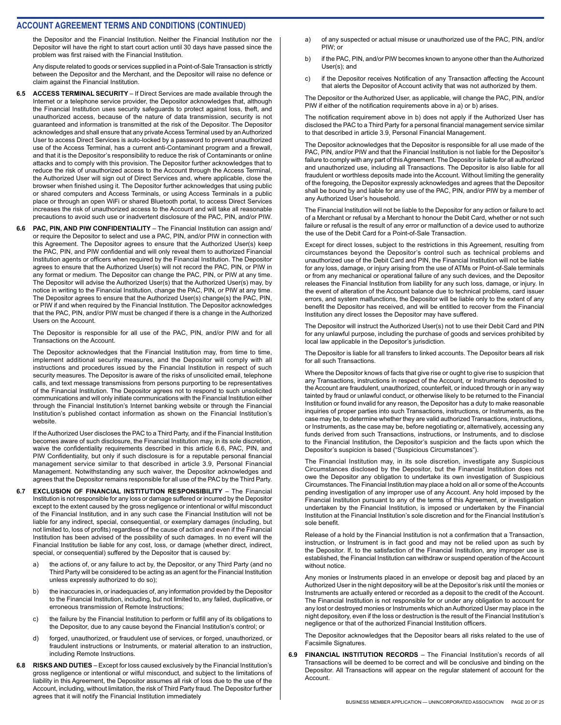the Depositor and the Financial Institution. Neither the Financial Institution nor the Depositor will have the right to start court action until 30 days have passed since the problem was first raised with the Financial Institution.

Any dispute related to goods or services supplied in a Point-of-Sale Transaction is strictly between the Depositor and the Merchant, and the Depositor will raise no defence or claim against the Financial Institution.

- **6.5 ACCESS TERMINAL SECURITY**  If Direct Services are made available through the Internet or a telephone service provider, the Depositor acknowledges that, although the Financial Institution uses security safeguards to protect against loss, theft, and unauthorized access, because of the nature of data transmission, security is not guaranteed and information is transmitted at the risk of the Depositor. The Depositor acknowledges and shall ensure that any private Access Terminal used by an Authorized User to access Direct Services is auto-locked by a password to prevent unauthorized use of the Access Terminal, has a current anti-Contaminant program and a firewall, and that it is the Depositor's responsibility to reduce the risk of Contaminants or online attacks and to comply with this provision. The Depositor further acknowledges that to reduce the risk of unauthorized access to the Account through the Access Terminal, the Authorized User will sign out of Direct Services and, where applicable, close the browser when finished using it. The Depositor further acknowledges that using public or shared computers and Access Terminals, or using Access Terminals in a public place or through an open WiFi or shared Bluetooth portal, to access Direct Services increases the risk of unauthorized access to the Account and will take all reasonable precautions to avoid such use or inadvertent disclosure of the PAC, PIN, and/or PIW.
- **6.6 PAC, PIN, AND PIW CONFIDENTIALITY** The Financial Institution can assign and/ or require the Depositor to select and use a PAC, PIN, and/or PIW in connection with this Agreement. The Depositor agrees to ensure that the Authorized User(s) keep the PAC, PIN, and PIW confidential and will only reveal them to authorized Financial Institution agents or officers when required by the Financial Institution. The Depositor agrees to ensure that the Authorized User(s) will not record the PAC, PIN, or PIW in any format or medium. The Depositor can change the PAC, PIN, or PIW at any time. The Depositor will advise the Authorized User(s) that the Authorized User(s) may, by notice in writing to the Financial Institution, change the PAC, PIN, or PIW at any time. The Depositor agrees to ensure that the Authorized User(s) change(s) the PAC, PIN, or PIW if and when required by the Financial Institution. The Depositor acknowledges that the PAC, PIN, and/or PIW must be changed if there is a change in the Authorized Users on the Account.

The Depositor is responsible for all use of the PAC, PIN, and/or PIW and for all Transactions on the Account.

The Depositor acknowledges that the Financial Institution may, from time to time, implement additional security measures, and the Depositor will comply with all instructions and procedures issued by the Financial Institution in respect of such security measures. The Depositor is aware of the risks of unsolicited email, telephone calls, and text message transmissions from persons purporting to be representatives of the Financial Institution. The Depositor agrees not to respond to such unsolicited communications and will only initiate communications with the Financial Institution either through the Financial Institution's Internet banking website or through the Financial Institution's published contact information as shown on the Financial Institution's website.

If the Authorized User discloses the PAC to a Third Party, and if the Financial Institution becomes aware of such disclosure, the Financial Institution may, in its sole discretion, waive the confidentiality requirements described in this article 6.6, PAC, PIN, and PIW Confidentiality, but only if such disclosure is for a reputable personal financial management service similar to that described in article 3.9, Personal Financial Management. Notwithstanding any such waiver, the Depositor acknowledges and agrees that the Depositor remains responsible for all use of the PAC by the Third Party.

- **6.7 EXCLUSION OF FINANCIAL INSTITUTION RESPONSIBILITY** The Financial Institution is not responsible for any loss or damage suffered or incurred by the Depositor except to the extent caused by the gross negligence or intentional or wilful misconduct of the Financial Institution, and in any such case the Financial Institution will not be liable for any indirect, special, consequential, or exemplary damages (including, but not limited to, loss of profits) regardless of the cause of action and even if the Financial Institution has been advised of the possibility of such damages. In no event will the Financial Institution be liable for any cost, loss, or damage (whether direct, indirect, special, or consequential) suffered by the Depositor that is caused by:
	- a) the actions of, or any failure to act by, the Depositor, or any Third Party (and no Third Party will be considered to be acting as an agent for the Financial Institution unless expressly authorized to do so);
	- b) the inaccuracies in, or inadequacies of, any information provided by the Depositor to the Financial Institution, including, but not limited to, any failed, duplicative, or erroneous transmission of Remote Instructions;
	- c) the failure by the Financial Institution to perform or fulfill any of its obligations to the Depositor, due to any cause beyond the Financial Institution's control; or
	- d) forged, unauthorized, or fraudulent use of services, or forged, unauthorized, or fraudulent instructions or Instruments, or material alteration to an instruction, including Remote Instructions.
- **6.8 RISKS AND DUTIES** Except for loss caused exclusively by the Financial Institution's gross negligence or intentional or wilful misconduct, and subject to the limitations of liability in this Agreement, the Depositor assumes all risk of loss due to the use of the Account, including, without limitation, the risk of Third Party fraud. The Depositor further agrees that it will notify the Financial Institution immediately
- a) of any suspected or actual misuse or unauthorized use of the PAC, PIN, and/or PIW: or
- b) if the PAC, PIN, and/or PIW becomes known to anyone other than the Authorized User(s); and
- c) if the Depositor receives Notification of any Transaction affecting the Account that alerts the Depositor of Account activity that was not authorized by them.

The Depositor or the Authorized User, as applicable, will change the PAC, PIN, and/or PIW if either of the notification requirements above in a) or b) arises.

The notification requirement above in b) does not apply if the Authorized User has disclosed the PAC to a Third Party for a personal financial management service similar to that described in article 3.9, Personal Financial Management.

The Depositor acknowledges that the Depositor is responsible for all use made of the PAC, PIN, and/or PIW and that the Financial Institution is not liable for the Depositor's failure to comply with any part of this Agreement. The Depositor is liable for all authorized and unauthorized use, including all Transactions. The Depositor is also liable for all fraudulent or worthless deposits made into the Account. Without limiting the generality of the foregoing, the Depositor expressly acknowledges and agrees that the Depositor shall be bound by and liable for any use of the PAC, PIN, and/or PIW by a member of any Authorized User's household.

The Financial Institution will not be liable to the Depositor for any action or failure to act of a Merchant or refusal by a Merchant to honour the Debit Card, whether or not such failure or refusal is the result of any error or malfunction of a device used to authorize the use of the Debit Card for a Point-of-Sale Transaction.

Except for direct losses, subject to the restrictions in this Agreement, resulting from circumstances beyond the Depositor's control such as technical problems and unauthorized use of the Debit Card and PIN, the Financial Institution will not be liable for any loss, damage, or injury arising from the use of ATMs or Point-of-Sale terminals or from any mechanical or operational failure of any such devices, and the Depositor releases the Financial Institution from liability for any such loss, damage, or injury. In the event of alteration of the Account balance due to technical problems, card issuer errors, and system malfunctions, the Depositor will be liable only to the extent of any benefit the Depositor has received, and will be entitled to recover from the Financial Institution any direct losses the Depositor may have suffered.

The Depositor will instruct the Authorized User(s) not to use their Debit Card and PIN for any unlawful purpose, including the purchase of goods and services prohibited by local law applicable in the Depositor's jurisdiction.

The Depositor is liable for all transfers to linked accounts. The Depositor bears all risk for all such Transactions.

Where the Depositor knows of facts that give rise or ought to give rise to suspicion that any Transactions, instructions in respect of the Account, or Instruments deposited to the Account are fraudulent, unauthorized, counterfeit, or induced through or in any way tainted by fraud or unlawful conduct, or otherwise likely to be returned to the Financial Institution or found invalid for any reason, the Depositor has a duty to make reasonable inquiries of proper parties into such Transactions, instructions, or Instruments, as the case may be, to determine whether they are valid authorized Transactions, instructions, or Instruments, as the case may be, before negotiating or, alternatively, accessing any funds derived from such Transactions, instructions, or Instruments, and to disclose to the Financial Institution, the Depositor's suspicion and the facts upon which the Depositor's suspicion is based ("Suspicious Circumstances").

The Financial Institution may, in its sole discretion, investigate any Suspicious Circumstances disclosed by the Depositor, but the Financial Institution does not owe the Depositor any obligation to undertake its own investigation of Suspicious Circumstances. The Financial Institution may place a hold on all or some of the Accounts pending investigation of any improper use of any Account. Any hold imposed by the Financial Institution pursuant to any of the terms of this Agreement, or investigation undertaken by the Financial Institution, is imposed or undertaken by the Financial Institution at the Financial Institution's sole discretion and for the Financial Institution's sole benefit.

Release of a hold by the Financial Institution is not a confirmation that a Transaction, instruction, or Instrument is in fact good and may not be relied upon as such by the Depositor. If, to the satisfaction of the Financial Institution, any improper use is established, the Financial Institution can withdraw or suspend operation of the Account without notice.

Any monies or Instruments placed in an envelope or deposit bag and placed by an Authorized User in the night depository will be at the Depositor's risk until the monies or Instruments are actually entered or recorded as a deposit to the credit of the Account. The Financial Institution is not responsible for or under any obligation to account for any lost or destroyed monies or Instruments which an Authorized User may place in the night depository, even if the loss or destruction is the result of the Financial Institution's negligence or that of the authorized Financial Institution officers.

The Depositor acknowledges that the Depositor bears all risks related to the use of Facsimile Signatures.

**FINANCIAL INSTITUTION RECORDS** – The Financial Institution's records of all Transactions will be deemed to be correct and will be conclusive and binding on the Depositor. All Transactions will appear on the regular statement of account for the Account.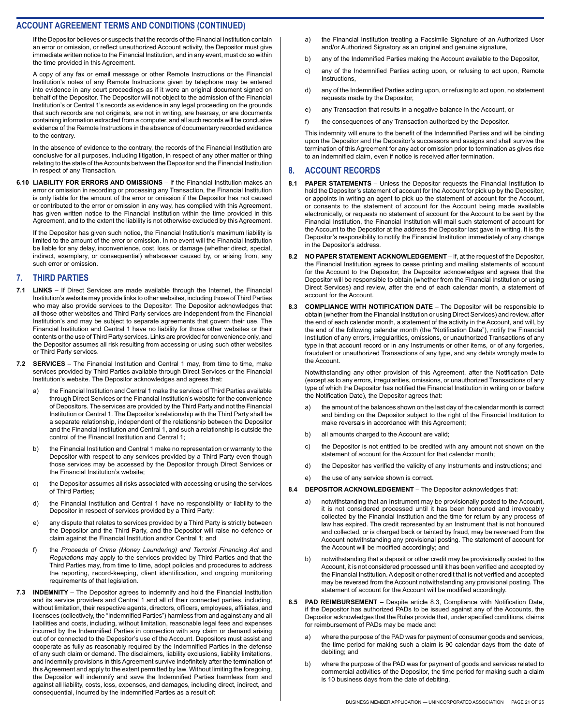If the Depositor believes or suspects that the records of the Financial Institution contain an error or omission, or reflect unauthorized Account activity, the Depositor must give immediate written notice to the Financial Institution, and in any event, must do so within the time provided in this Agreement.

A copy of any fax or email message or other Remote Instructions or the Financial Institution's notes of any Remote Instructions given by telephone may be entered into evidence in any court proceedings as if it were an original document signed on behalf of the Depositor. The Depositor will not object to the admission of the Financial Institution's or Central 1's records as evidence in any legal proceeding on the grounds that such records are not originals, are not in writing, are hearsay, or are documents containing information extracted from a computer, and all such records will be conclusive evidence of the Remote Instructions in the absence of documentary recorded evidence to the contrary.

In the absence of evidence to the contrary, the records of the Financial Institution are conclusive for all purposes, including litigation, in respect of any other matter or thing relating to the state of the Accounts between the Depositor and the Financial Institution in respect of any Transaction.

**6.10 LIABILITY FOR ERRORS AND OMISSIONS** – If the Financial Institution makes an error or omission in recording or processing any Transaction, the Financial Institution is only liable for the amount of the error or omission if the Depositor has not caused or contributed to the error or omission in any way, has complied with this Agreement, has given written notice to the Financial Institution within the time provided in this Agreement, and to the extent the liability is not otherwise excluded by this Agreement.

If the Depositor has given such notice, the Financial Institution's maximum liability is limited to the amount of the error or omission. In no event will the Financial Institution be liable for any delay, inconvenience, cost, loss, or damage (whether direct, special, indirect, exemplary, or consequential) whatsoever caused by, or arising from, any such error or omission.

#### **7. THIRD PARTIES**

- **7.1 LINKS**  If Direct Services are made available through the Internet, the Financial Institution's website may provide links to other websites, including those of Third Parties who may also provide services to the Depositor. The Depositor acknowledges that all those other websites and Third Party services are independent from the Financial Institution's and may be subject to separate agreements that govern their use. The Financial Institution and Central 1 have no liability for those other websites or their contents or the use of Third Party services. Links are provided for convenience only, and the Depositor assumes all risk resulting from accessing or using such other websites or Third Party services.
- **7.2 SERVICES** The Financial Institution and Central 1 may, from time to time, make services provided by Third Parties available through Direct Services or the Financial Institution's website. The Depositor acknowledges and agrees that:
	- a) the Financial Institution and Central 1 make the services of Third Parties available through Direct Services or the Financial Institution's website for the convenience of Depositors. The services are provided by the Third Party and not the Financial Institution or Central 1. The Depositor's relationship with the Third Party shall be a separate relationship, independent of the relationship between the Depositor and the Financial Institution and Central 1, and such a relationship is outside the control of the Financial Institution and Central 1;
	- b) the Financial Institution and Central 1 make no representation or warranty to the Depositor with respect to any services provided by a Third Party even though those services may be accessed by the Depositor through Direct Services or the Financial Institution's website;
	- c) the Depositor assumes all risks associated with accessing or using the services of Third Parties;
	- d) the Financial Institution and Central 1 have no responsibility or liability to the Depositor in respect of services provided by a Third Party;
	- e) any dispute that relates to services provided by a Third Party is strictly between the Depositor and the Third Party, and the Depositor will raise no defence or claim against the Financial Institution and/or Central 1; and
	- f) the *Proceeds of Crime (Money Laundering) and Terrorist Financing Act* and *Regulations* may apply to the services provided by Third Parties and that the Third Parties may, from time to time, adopt policies and procedures to address the reporting, record-keeping, client identification, and ongoing monitoring requirements of that legislation.
- **7.3 INDEMNITY** The Depositor agrees to indemnify and hold the Financial Institution and its service providers and Central 1 and all of their connected parties, including, without limitation, their respective agents, directors, officers, employees, affiliates, and licensees (collectively, the "Indemnified Parties") harmless from and against any and all liabilities and costs, including, without limitation, reasonable legal fees and expenses incurred by the Indemnified Parties in connection with any claim or demand arising out of or connected to the Depositor's use of the Account. Depositors must assist and cooperate as fully as reasonably required by the Indemnified Parties in the defense of any such claim or demand. The disclaimers, liability exclusions, liability limitations, and indemnity provisions in this Agreement survive indefinitely after the termination of this Agreement and apply to the extent permitted by law. Without limiting the foregoing, the Depositor will indemnify and save the Indemnified Parties harmless from and against all liability, costs, loss, expenses, and damages, including direct, indirect, and consequential, incurred by the Indemnified Parties as a result of:
- a) the Financial Institution treating a Facsimile Signature of an Authorized User and/or Authorized Signatory as an original and genuine signature,
- b) any of the Indemnified Parties making the Account available to the Depositor,
- c) any of the Indemnified Parties acting upon, or refusing to act upon, Remote Instructions,
- d) any of the Indemnified Parties acting upon, or refusing to act upon, no statement requests made by the Depositor,
- e) any Transaction that results in a negative balance in the Account, or
- f) the consequences of any Transaction authorized by the Depositor.

This indemnity will enure to the benefit of the Indemnified Parties and will be binding upon the Depositor and the Depositor's successors and assigns and shall survive the termination of this Agreement for any act or omission prior to termination as gives rise to an indemnified claim, even if notice is received after termination.

#### **8. ACCOUNT RECORDS**

- **8.1 PAPER STATEMENTS**  Unless the Depositor requests the Financial Institution to hold the Depositor's statement of account for the Account for pick up by the Depositor, or appoints in writing an agent to pick up the statement of account for the Account, or consents to the statement of account for the Account being made available electronically, or requests no statement of account for the Account to be sent by the Financial Institution, the Financial Institution will mail such statement of account for the Account to the Depositor at the address the Depositor last gave in writing. It is the Depositor's responsibility to notify the Financial Institution immediately of any change in the Depositor's address.
- **8.2 NO PAPER STATEMENT ACKNOWLEDGEMENT** If, at the request of the Depositor, the Financial Institution agrees to cease printing and mailing statements of account for the Account to the Depositor, the Depositor acknowledges and agrees that the Depositor will be responsible to obtain (whether from the Financial Institution or using Direct Services) and review, after the end of each calendar month, a statement of account for the Account.
- **8.3 COMPLIANCE WITH NOTIFICATION DATE** The Depositor will be responsible to obtain (whether from the Financial Institution or using Direct Services) and review, after the end of each calendar month, a statement of the activity in the Account, and will, by the end of the following calendar month (the "Notification Date"), notify the Financial Institution of any errors, irregularities, omissions, or unauthorized Transactions of any type in that account record or in any Instruments or other items, or of any forgeries, fraudulent or unauthorized Transactions of any type, and any debits wrongly made to the Account.

Notwithstanding any other provision of this Agreement, after the Notification Date (except as to any errors, irregularities, omissions, or unauthorized Transactions of any type of which the Depositor has notified the Financial Institution in writing on or before the Notification Date), the Depositor agrees that:

- a) the amount of the balances shown on the last day of the calendar month is correct and binding on the Depositor subject to the right of the Financial Institution to make reversals in accordance with this Agreement;
- b) all amounts charged to the Account are valid;
- c) the Depositor is not entitled to be credited with any amount not shown on the statement of account for the Account for that calendar month;
- d) the Depositor has verified the validity of any Instruments and instructions; and
- e) the use of any service shown is correct.
- **8.4 DEPOSITOR ACKNOWLEDGEMENT**  The Depositor acknowledges that:
	- a) notwithstanding that an Instrument may be provisionally posted to the Account, it is not considered processed until it has been honoured and irrevocably collected by the Financial Institution and the time for return by any process of law has expired. The credit represented by an Instrument that is not honoured and collected, or is charged back or tainted by fraud, may be reversed from the Account notwithstanding any provisional posting. The statement of account for the Account will be modified accordingly; and
	- b) notwithstanding that a deposit or other credit may be provisionally posted to the Account, it is not considered processed until it has been verified and accepted by the Financial Institution. A deposit or other credit that is not verified and accepted may be reversed from the Account notwithstanding any provisional posting. The statement of account for the Account will be modified accordingly.
- **8.5 PAD REIMBURSEMENT** Despite article 8.3, Compliance with Notification Date, if the Depositor has authorized PADs to be issued against any of the Accounts, the Depositor acknowledges that the Rules provide that, under specified conditions, claims for reimbursement of PADs may be made and:
	- where the purpose of the PAD was for payment of consumer goods and services, the time period for making such a claim is 90 calendar days from the date of debiting; and
	- b) where the purpose of the PAD was for payment of goods and services related to commercial activities of the Depositor, the time period for making such a claim is 10 business days from the date of debiting.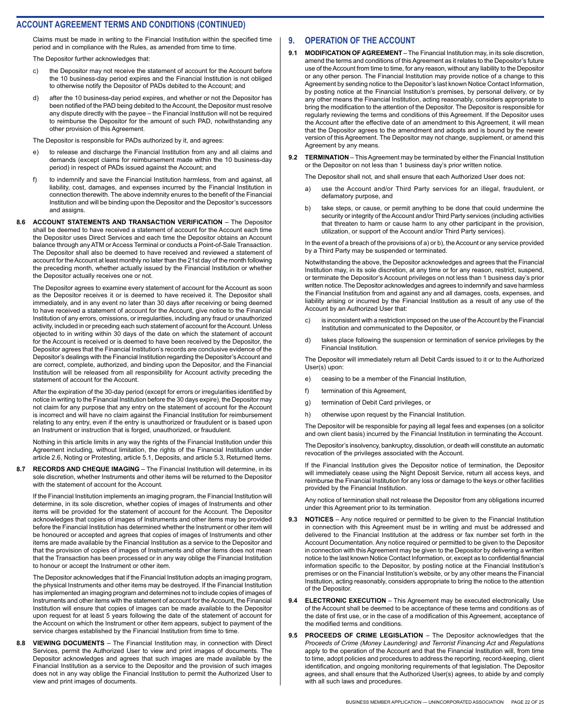Claims must be made in writing to the Financial Institution within the specified time period and in compliance with the Rules, as amended from time to time.

The Depositor further acknowledges that:

- c) the Depositor may not receive the statement of account for the Account before the 10 business-day period expires and the Financial Institution is not obliged to otherwise notify the Depositor of PADs debited to the Account; and
- d) after the 10 business-day period expires, and whether or not the Depositor has been notified of the PAD being debited to the Account, the Depositor must resolve any dispute directly with the payee – the Financial Institution will not be required to reimburse the Depositor for the amount of such PAD, notwithstanding any other provision of this Agreement.

The Depositor is responsible for PADs authorized by it, and agrees:

- e) to release and discharge the Financial Institution from any and all claims and demands (except claims for reimbursement made within the 10 business-day period) in respect of PADs issued against the Account; and
- f) to indemnify and save the Financial Institution harmless, from and against, all liability, cost, damages, and expenses incurred by the Financial Institution in connection therewith. The above indemnity enures to the benefit of the Financial Institution and will be binding upon the Depositor and the Depositor's successors and assigns.
- **8.6 ACCOUNT STATEMENTS AND TRANSACTION VERIFICATION**  The Depositor shall be deemed to have received a statement of account for the Account each time the Depositor uses Direct Services and each time the Depositor obtains an Account balance through any ATM or Access Terminal or conducts a Point-of-Sale Transaction. The Depositor shall also be deemed to have received and reviewed a statement of account for the Account at least monthly no later than the 21st day of the month following the preceding month, whether actually issued by the Financial Institution or whether the Depositor actually receives one or not.

The Depositor agrees to examine every statement of account for the Account as soon as the Depositor receives it or is deemed to have received it. The Depositor shall immediately, and in any event no later than 30 days after receiving or being deemed to have received a statement of account for the Account, give notice to the Financial Institution of any errors, omissions, or irregularities, including any fraud or unauthorized activity, included in or preceding each such statement of account for the Account. Unless objected to in writing within 30 days of the date on which the statement of account for the Account is received or is deemed to have been received by the Depositor, the Depositor agrees that the Financial Institution's records are conclusive evidence of the Depositor's dealings with the Financial Institution regarding the Depositor's Account and are correct, complete, authorized, and binding upon the Depositor, and the Financial Institution will be released from all responsibility for Account activity preceding the statement of account for the Account.

After the expiration of the 30-day period (except for errors or irregularities identified by notice in writing to the Financial Institution before the 30 days expire), the Depositor may not claim for any purpose that any entry on the statement of account for the Account is incorrect and will have no claim against the Financial Institution for reimbursement relating to any entry, even if the entry is unauthorized or fraudulent or is based upon an Instrument or instruction that is forged, unauthorized, or fraudulent.

Nothing in this article limits in any way the rights of the Financial Institution under this Agreement including, without limitation, the rights of the Financial Institution under article 2.6, Noting or Protesting, article 5.1, Deposits, and article 5.3, Returned Items.

**8.7 RECORDS AND CHEQUE IMAGING** – The Financial Institution will determine, in its sole discretion, whether Instruments and other items will be returned to the Depositor with the statement of account for the Account.

If the Financial Institution implements an imaging program, the Financial Institution will determine, in its sole discretion, whether copies of images of Instruments and other items will be provided for the statement of account for the Account. The Depositor acknowledges that copies of images of Instruments and other items may be provided before the Financial Institution has determined whether the Instrument or other item will be honoured or accepted and agrees that copies of images of Instruments and other items are made available by the Financial Institution as a service to the Depositor and that the provision of copies of images of Instruments and other items does not mean that the Transaction has been processed or in any way oblige the Financial Institution to honour or accept the Instrument or other item.

The Depositor acknowledges that if the Financial Institution adopts an imaging program, the physical Instruments and other items may be destroyed. If the Financial Institution has implemented an imaging program and determines not to include copies of images of Instruments and other items with the statement of account for the Account, the Financial Institution will ensure that copies of images can be made available to the Depositor upon request for at least 5 years following the date of the statement of account for the Account on which the Instrument or other item appears, subject to payment of the service charges established by the Financial Institution from time to time.

**8.8 VIEWING DOCUMENTS** – The Financial Institution may, in connection with Direct Services, permit the Authorized User to view and print images of documents. The Depositor acknowledges and agrees that such images are made available by the Financial Institution as a service to the Depositor and the provision of such images does not in any way oblige the Financial Institution to permit the Authorized User to view and print images of documents.

#### **9. OPERATION OF THE ACCOUNT**

- **9.1 MODIFICATION OF AGREEMENT** The Financial Institution may, in its sole discretion, amend the terms and conditions of this Agreement as it relates to the Depositor's future use of the Account from time to time, for any reason, without any liability to the Depositor or any other person. The Financial Institution may provide notice of a change to this Agreement by sending notice to the Depositor's last known Notice Contact Information, by posting notice at the Financial Institution's premises, by personal delivery, or by any other means the Financial Institution, acting reasonably, considers appropriate to bring the modification to the attention of the Depositor. The Depositor is responsible for regularly reviewing the terms and conditions of this Agreement. If the Depositor uses the Account after the effective date of an amendment to this Agreement, it will mean that the Depositor agrees to the amendment and adopts and is bound by the newer version of this Agreement. The Depositor may not change, supplement, or amend this Agreement by any means.
- **9.2 TERMINATION** This Agreement may be terminated by either the Financial Institution or the Depositor on not less than 1 business day's prior written notice.

The Depositor shall not, and shall ensure that each Authorized User does not:

- a) use the Account and/or Third Party services for an illegal, fraudulent, or defamatory purpose, and
- b) take steps, or cause, or permit anything to be done that could undermine the security or integrity of the Account and/or Third Party services (including activities that threaten to harm or cause harm to any other participant in the provision, utilization, or support of the Account and/or Third Party services).

In the event of a breach of the provisions of a) or b), the Account or any service provided by a Third Party may be suspended or terminated.

Notwithstanding the above, the Depositor acknowledges and agrees that the Financial Institution may, in its sole discretion, at any time or for any reason, restrict, suspend, or terminate the Depositor's Account privileges on not less than 1 business day's prior written notice. The Depositor acknowledges and agrees to indemnify and save harmless the Financial Institution from and against any and all damages, costs, expenses, and liability arising or incurred by the Financial Institution as a result of any use of the Account by an Authorized User that:

- c) is inconsistent with a restriction imposed on the use of the Account by the Financial Institution and communicated to the Depositor, or
- d) takes place following the suspension or termination of service privileges by the Financial Institution.

The Depositor will immediately return all Debit Cards issued to it or to the Authorized User(s) upon:

- e) ceasing to be a member of the Financial Institution,
- f) termination of this Agreement,
- g) termination of Debit Card privileges, or
- h) otherwise upon request by the Financial Institution.

The Depositor will be responsible for paying all legal fees and expenses (on a solicitor and own client basis) incurred by the Financial Institution in terminating the Account.

The Depositor's insolvency, bankruptcy, dissolution, or death will constitute an automatic revocation of the privileges associated with the Account.

If the Financial Institution gives the Depositor notice of termination, the Depositor will immediately cease using the Night Deposit Service, return all access keys, and reimburse the Financial Institution for any loss or damage to the keys or other facilities provided by the Financial Institution.

Any notice of termination shall not release the Depositor from any obligations incurred under this Agreement prior to its termination.

- **9.3 NOTICES** Any notice required or permitted to be given to the Financial Institution in connection with this Agreement must be in writing and must be addressed and delivered to the Financial Institution at the address or fax number set forth in the Account Documentation. Any notice required or permitted to be given to the Depositor in connection with this Agreement may be given to the Depositor by delivering a written notice to the last known Notice Contact Information, or, except as to confidential financial information specific to the Depositor, by posting notice at the Financial Institution's premises or on the Financial Institution's website, or by any other means the Financial Institution, acting reasonably, considers appropriate to bring the notice to the attention of the Depositor.
- **9.4 ELECTRONIC EXECUTION** This Agreement may be executed electronically. Use of the Account shall be deemed to be acceptance of these terms and conditions as of the date of first use, or in the case of a modification of this Agreement, acceptance of the modified terms and conditions.
- **9.5 PROCEEDS OF CRIME LEGISLATION** The Depositor acknowledges that the *Proceeds of Crime (Money Laundering) and Terrorist Financing Act* and *Regulations*  apply to the operation of the Account and that the Financial Institution will, from time to time, adopt policies and procedures to address the reporting, record-keeping, client identification, and ongoing monitoring requirements of that legislation. The Depositor agrees, and shall ensure that the Authorized User(s) agrees, to abide by and comply with all such laws and procedures.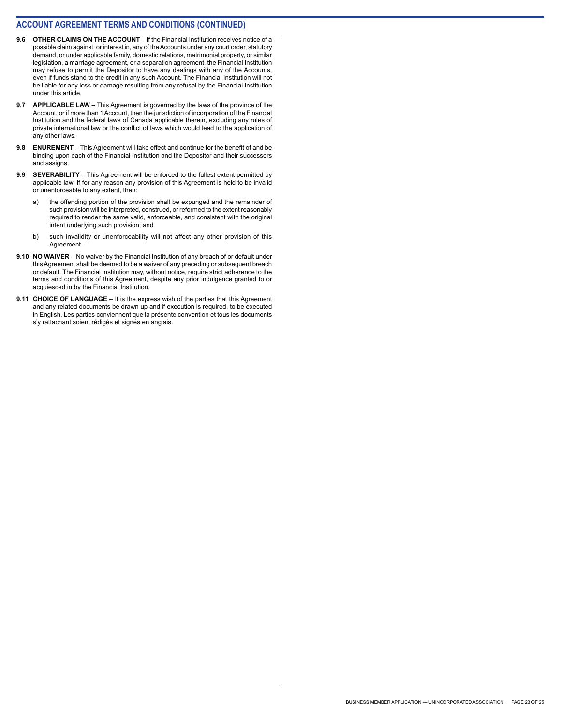- **9.6 OTHER CLAIMS ON THE ACCOUNT**  If the Financial Institution receives notice of a possible claim against, or interest in, any of the Accounts under any court order, statutory demand, or under applicable family, domestic relations, matrimonial property, or similar legislation, a marriage agreement, or a separation agreement, the Financial Institution may refuse to permit the Depositor to have any dealings with any of the Accounts, even if funds stand to the credit in any such Account. The Financial Institution will not be liable for any loss or damage resulting from any refusal by the Financial Institution under this article.
- **9.7 APPLICABLE LAW**  This Agreement is governed by the laws of the province of the Account, or if more than 1 Account, then the jurisdiction of incorporation of the Financial Institution and the federal laws of Canada applicable therein, excluding any rules of private international law or the conflict of laws which would lead to the application of any other laws.
- **9.8 ENUREMENT**  This Agreement will take effect and continue for the benefit of and be binding upon each of the Financial Institution and the Depositor and their successors and assigns.
- **9.9 SEVERABILITY** This Agreement will be enforced to the fullest extent permitted by applicable law. If for any reason any provision of this Agreement is held to be invalid or unenforceable to any extent, then:
	- a) the offending portion of the provision shall be expunged and the remainder of such provision will be interpreted, construed, or reformed to the extent reasonably required to render the same valid, enforceable, and consistent with the original intent underlying such provision; and
	- b) such invalidity or unenforceability will not affect any other provision of this Agreement.
- **9.10 NO WAIVER** No waiver by the Financial Institution of any breach of or default under this Agreement shall be deemed to be a waiver of any preceding or subsequent breach or default. The Financial Institution may, without notice, require strict adherence to the terms and conditions of this Agreement, despite any prior indulgence granted to or acquiesced in by the Financial Institution.
- **9.11 CHOICE OF LANGUAGE** It is the express wish of the parties that this Agreement and any related documents be drawn up and if execution is required, to be executed in English. Les parties conviennent que la présente convention et tous les documents s'y rattachant soient rédigés et signés en anglais.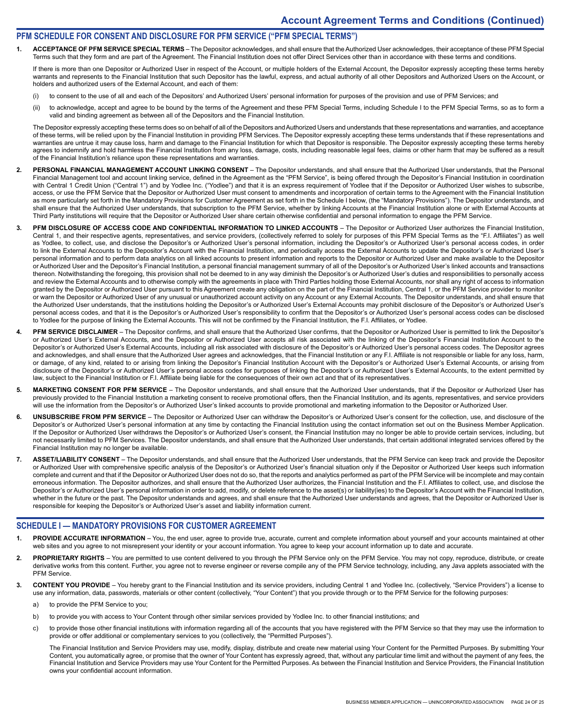#### **PFM SCHEDULE FOR CONSENT AND DISCLOSURE FOR PFM SERVICE ("PFM SPECIAL TERMS")**

**1. ACCEPTANCE OF PFM SERVICE SPECIAL TERMS** – The Depositor acknowledges, and shall ensure that the Authorized User acknowledges, their acceptance of these PFM Special Terms such that they form and are part of the Agreement. The Financial Institution does not offer Direct Services other than in accordance with these terms and conditions.

If there is more than one Depositor or Authorized User in respect of the Account, or multiple holders of the External Account, the Depositor expressly accepting these terms hereby warrants and represents to the Financial Institution that such Depositor has the lawful, express, and actual authority of all other Depositors and Authorized Users on the Account, or holders and authorized users of the External Account, and each of them:

- (i) to consent to the use of all and each of the Depositors' and Authorized Users' personal information for purposes of the provision and use of PFM Services; and
- (ii) to acknowledge, accept and agree to be bound by the terms of the Agreement and these PFM Special Terms, including Schedule I to the PFM Special Terms, so as to form a valid and binding agreement as between all of the Depositors and the Financial Institution.

The Depositor expressly accepting these terms does so on behalf of all of the Depositors and Authorized Users and understands that these representations and warranties, and acceptance of these terms, will be relied upon by the Financial Institution in providing PFM Services. The Depositor expressly accepting these terms understands that if these representations and warranties are untrue it may cause loss, harm and damage to the Financial Institution for which that Depositor is responsible. The Depositor expressly accepting these terms hereby agrees to indemnify and hold harmless the Financial Institution from any loss, damage, costs, including reasonable legal fees, claims or other harm that may be suffered as a result of the Financial Institution's reliance upon these representations and warranties.

- 2. PERSONAL FINANCIAL MANAGEMENT ACCOUNT LINKING CONSENT The Depositor understands, and shall ensure that the Authorized User understands, that the Personal Financial Management tool and account linking service, defined in the Agreement as the "PFM Service", is being offered through the Depositor's Financial Institution in coordination with Central 1 Credit Union ("Central 1") and by Yodlee Inc. ("Yodlee") and that it is an express requirement of Yodlee that if the Depositor or Authorized User wishes to subscribe, access, or use the PFM Service that the Depositor or Authorized User must consent to amendments and incorporation of certain terms to the Agreement with the Financial Institution as more particularly set forth in the Mandatory Provisions for Customer Agreement as set forth in the Schedule I below, (the "Mandatory Provisions"). The Depositor understands, and shall ensure that the Authorized User understands, that subscription to the PFM Service, whether by linking Accounts at the Financial Institution alone or with External Accounts at Third Party institutions will require that the Depositor or Authorized User share certain otherwise confidential and personal information to engage the PFM Service.
- **3. PFM DISCLOSURE OF ACCESS CODE AND CONFIDENTIAL INFORMATION TO LINKED ACCOUNTS**  The Depositor or Authorized User authorizes the Financial Institution, Central 1, and their respective agents, representatives, and service providers, (collectively referred to solely for purposes of this PFM Special Terms as the "F.I. Affiliates") as well as Yodlee, to collect, use, and disclose the Depositor's or Authorized User's personal information, including the Depositor's or Authorized User's personal access codes, in order to link the External Accounts to the Depositor's Account with the Financial Institution, and periodically access the External Accounts to update the Depositor's or Authorized User's personal information and to perform data analytics on all linked accounts to present information and reports to the Depositor or Authorized User and make available to the Depositor or Authorized User and the Depositor's Financial Institution, a personal financial management summary of all of the Depositor's or Authorized User's linked accounts and transactions thereon. Notwithstanding the foregoing, this provision shall not be deemed to in any way diminish the Depositor's or Authorized User's duties and responsibilities to personally access and review the External Accounts and to otherwise comply with the agreements in place with Third Parties holding those External Accounts, nor shall any right of access to information granted by the Depositor or Authorized User pursuant to this Agreement create any obligation on the part of the Financial Institution, Central 1, or the PFM Service provider to monitor or warn the Depositor or Authorized User of any unusual or unauthorized account activity on any Account or any External Accounts. The Depositor understands, and shall ensure that the Authorized User understands, that the institutions holding the Depositor's or Authorized User's External Accounts may prohibit disclosure of the Depositor's or Authorized User's personal access codes, and that it is the Depositor's or Authorized User's responsibility to confirm that the Depositor's or Authorized User's personal access codes can be disclosed to Yodlee for the purpose of linking the External Accounts. This will not be confirmed by the Financial Institution, the F.I. Affiliates, or Yodlee.
- **4. PFM SERVICE DISCLAIMER**  The Depositor confirms, and shall ensure that the Authorized User confirms, that the Depositor or Authorized User is permitted to link the Depositor's or Authorized User's External Accounts, and the Depositor or Authorized User accepts all risk associated with the linking of the Depositor's Financial Institution Account to the Depositor's or Authorized User's External Accounts, including all risk associated with disclosure of the Depositor's or Authorized User's personal access codes. The Depositor agrees and acknowledges, and shall ensure that the Authorized User agrees and acknowledges, that the Financial Institution or any F.I. Affiliate is not responsible or liable for any loss, harm, or damage, of any kind, related to or arising from linking the Depositor's Financial Institution Account with the Depositor's or Authorized User's External Accounts, or arising from disclosure of the Depositor's or Authorized User's personal access codes for purposes of linking the Depositor's or Authorized User's External Accounts, to the extent permitted by law, subject to the Financial Institution or F.I. Affiliate being liable for the consequences of their own act and that of its representatives.
- 5. MARKETING CONSENT FOR PFM SERVICE The Depositor understands, and shall ensure that the Authorized User understands, that if the Depositor or Authorized User has previously provided to the Financial Institution a marketing consent to receive promotional offers, then the Financial Institution, and its agents, representatives, and service providers will use the information from the Depositor's or Authorized User's linked accounts to provide promotional and marketing information to the Depositor or Authorized User.
- **6. UNSUBSCRIBE FROM PFM SERVICE** The Depositor or Authorized User can withdraw the Depositor's or Authorized User's consent for the collection, use, and disclosure of the Depositor's or Authorized User's personal information at any time by contacting the Financial Institution using the contact information set out on the Business Member Application. If the Depositor or Authorized User withdraws the Depositor's or Authorized User's consent, the Financial Institution may no longer be able to provide certain services, including, but not necessarily limited to PFM Services. The Depositor understands, and shall ensure that the Authorized User understands, that certain additional integrated services offered by the Financial Institution may no longer be available.
- 7. ASSET/LIABILITY CONSENT The Depositor understands, and shall ensure that the Authorized User understands, that the PFM Service can keep track and provide the Depositor or Authorized User with comprehensive specific analysis of the Depositor's or Authorized User's financial situation only if the Depositor or Authorized User keeps such information complete and current and that if the Depositor or Authorized User does not do so, that the reports and analytics performed as part of the PFM Service will be incomplete and may contain erroneous information. The Depositor authorizes, and shall ensure that the Authorized User authorizes, the Financial Institution and the F.I. Affiliates to collect, use, and disclose the Depositor's or Authorized User's personal information in order to add, modify, or delete reference to the asset(s) or liability(ies) to the Depositor's Account with the Financial Institution, whether in the future or the past. The Depositor understands and agrees, and shall ensure that the Authorized User understands and agrees, that the Depositor or Authorized User is responsible for keeping the Depositor's or Authorized User's asset and liability information current.

#### **SCHEDULE I — MANDATORY PROVISIONS FOR CUSTOMER AGREEMENT**

- PROVIDE ACCURATE INFORMATION You, the end user, agree to provide true, accurate, current and complete information about yourself and your accounts maintained at other web sites and you agree to not misrepresent your identity or your account information. You agree to keep your account information up to date and accurate.
- 2. PROPRIETARY RIGHTS You are permitted to use content delivered to you through the PFM Service only on the PFM Service. You may not copy, reproduce, distribute, or create derivative works from this content. Further, you agree not to reverse engineer or reverse compile any of the PFM Service technology, including, any Java applets associated with the PFM Service.
- **3. CONTENT YOU PROVIDE** You hereby grant to the Financial Institution and its service providers, including Central 1 and Yodlee Inc. (collectively, "Service Providers") a license to use any information, data, passwords, materials or other content (collectively, "Your Content") that you provide through or to the PFM Service for the following purposes:
	- a) to provide the PFM Service to you;
	- b) to provide you with access to Your Content through other similar services provided by Yodlee Inc. to other financial institutions; and
	- c) to provide those other financial institutions with information regarding all of the accounts that you have registered with the PFM Service so that they may use the information to provide or offer additional or complementary services to you (collectively, the "Permitted Purposes").

The Financial Institution and Service Providers may use, modify, display, distribute and create new material using Your Content for the Permitted Purposes. By submitting Your Content, you automatically agree, or promise that the owner of Your Content has expressly agreed, that, without any particular time limit and without the payment of any fees, the Financial Institution and Service Providers may use Your Content for the Permitted Purposes. As between the Financial Institution and Service Providers, the Financial Institution owns your confidential account information.